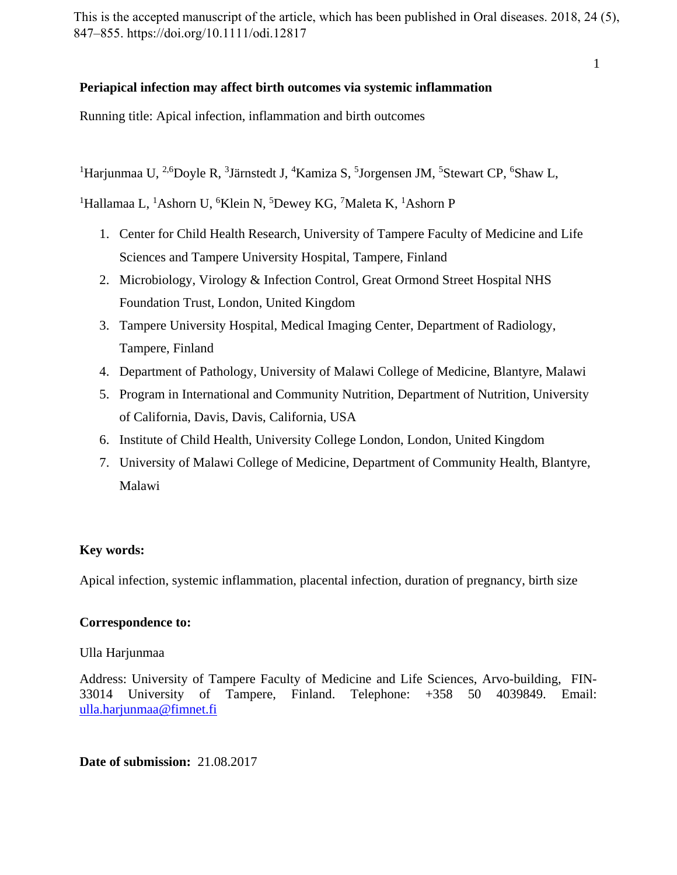This is the accepted manuscript of the article, which has been published in Oral diseases. 2018, 24 (5), 847–855. https://doi.org/10.1111/odi.12817

1

# **Periapical infection may affect birth outcomes via systemic inflammation**

Running title: Apical infection, inflammation and birth outcomes

<sup>1</sup>Harjunmaa U, <sup>2,6</sup>Doyle R, <sup>3</sup>Järnstedt J, <sup>4</sup>Kamiza S, <sup>5</sup>Jorgensen JM, <sup>5</sup>Stewart CP, <sup>6</sup>Shaw L,

<sup>1</sup>Hallamaa L, <sup>1</sup>Ashorn U, <sup>6</sup>Klein N, <sup>5</sup>Dewey KG, <sup>7</sup>Maleta K, <sup>1</sup>Ashorn P

- 1. Center for Child Health Research, University of Tampere Faculty of Medicine and Life Sciences and Tampere University Hospital, Tampere, Finland
- 2. Microbiology, Virology & Infection Control, Great Ormond Street Hospital NHS Foundation Trust, London, United Kingdom
- 3. Tampere University Hospital, Medical Imaging Center, Department of Radiology, Tampere, Finland
- 4. Department of Pathology, University of Malawi College of Medicine, Blantyre, Malawi
- 5. Program in International and Community Nutrition, Department of Nutrition, University of California, Davis, Davis, California, USA
- 6. Institute of Child Health, University College London, London, United Kingdom
- 7. University of Malawi College of Medicine, Department of Community Health, Blantyre, Malawi

# **Key words:**

Apical infection, systemic inflammation, placental infection, duration of pregnancy, birth size

# **Correspondence to:**

# Ulla Harjunmaa

Address: University of Tampere Faculty of Medicine and Life Sciences, Arvo-building, FIN-33014 University of Tampere, Finland. Telephone: +358 50 4039849. Email: [ulla.harjunmaa@fimnet.fi](mailto:ulla.harjunmaa@fimnet.fi) 

**Date of submission:** 21.08.2017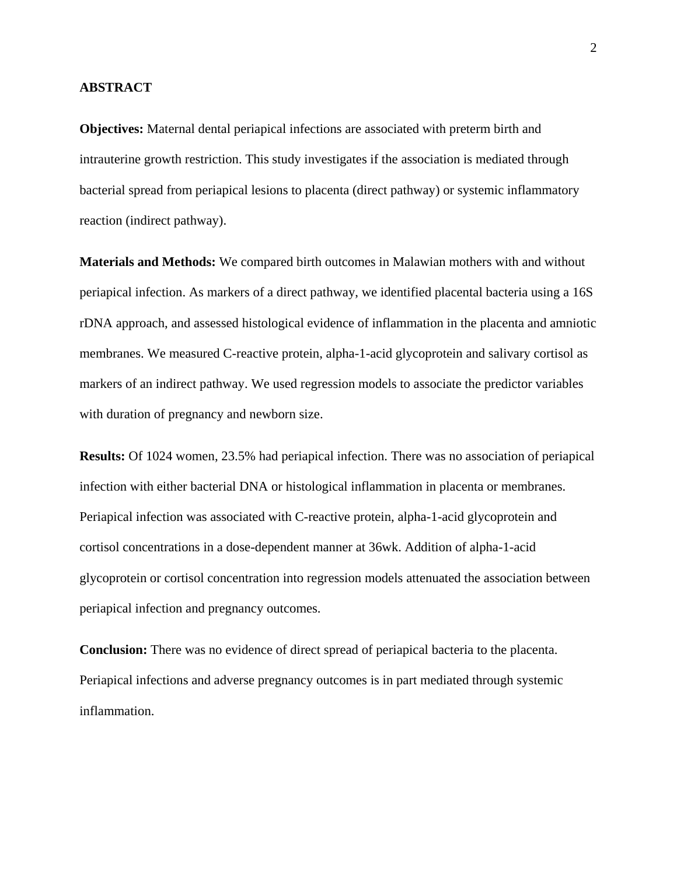# **ABSTRACT**

**Objectives:** Maternal dental periapical infections are associated with preterm birth and intrauterine growth restriction. This study investigates if the association is mediated through bacterial spread from periapical lesions to placenta (direct pathway) or systemic inflammatory reaction (indirect pathway).

**Materials and Methods:** We compared birth outcomes in Malawian mothers with and without periapical infection. As markers of a direct pathway, we identified placental bacteria using a 16S rDNA approach, and assessed histological evidence of inflammation in the placenta and amniotic membranes. We measured C-reactive protein, alpha-1-acid glycoprotein and salivary cortisol as markers of an indirect pathway. We used regression models to associate the predictor variables with duration of pregnancy and newborn size.

**Results:** Of 1024 women, 23.5% had periapical infection. There was no association of periapical infection with either bacterial DNA or histological inflammation in placenta or membranes. Periapical infection was associated with C-reactive protein, alpha-1-acid glycoprotein and cortisol concentrations in a dose-dependent manner at 36wk. Addition of alpha-1-acid glycoprotein or cortisol concentration into regression models attenuated the association between periapical infection and pregnancy outcomes.

**Conclusion:** There was no evidence of direct spread of periapical bacteria to the placenta. Periapical infections and adverse pregnancy outcomes is in part mediated through systemic inflammation.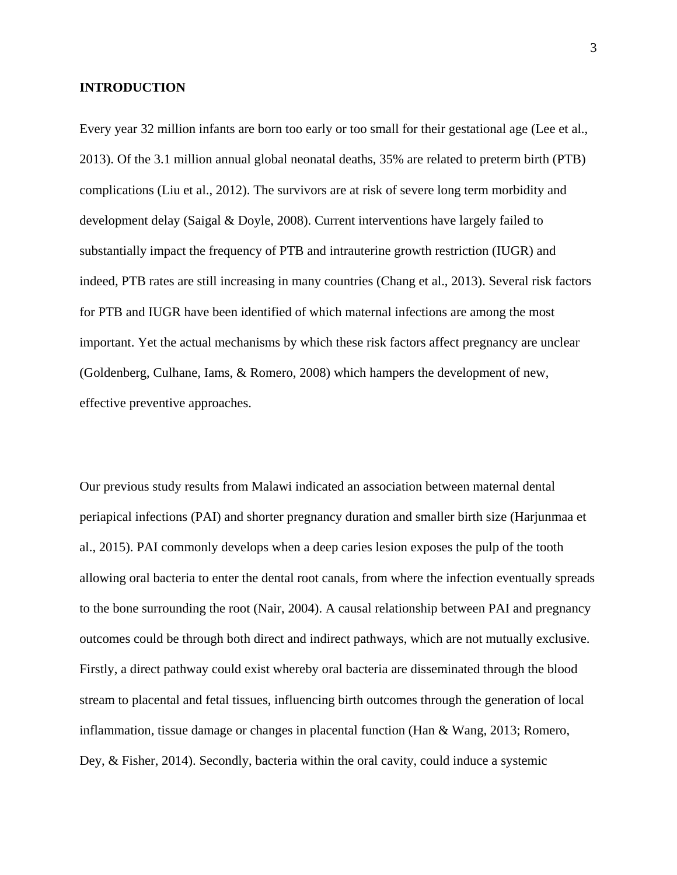# **INTRODUCTION**

Every year 32 million infants are born too early or too small for their gestational age (Lee et al., 2013). Of the 3.1 million annual global neonatal deaths, 35% are related to preterm birth (PTB) complications (Liu et al., 2012). The survivors are at risk of severe long term morbidity and development delay (Saigal & Doyle, 2008). Current interventions have largely failed to substantially impact the frequency of PTB and intrauterine growth restriction (IUGR) and indeed, PTB rates are still increasing in many countries (Chang et al., 2013). Several risk factors for PTB and IUGR have been identified of which maternal infections are among the most important. Yet the actual mechanisms by which these risk factors affect pregnancy are unclear (Goldenberg, Culhane, Iams, & Romero, 2008) which hampers the development of new, effective preventive approaches.

Our previous study results from Malawi indicated an association between maternal dental periapical infections (PAI) and shorter pregnancy duration and smaller birth size (Harjunmaa et al., 2015). PAI commonly develops when a deep caries lesion exposes the pulp of the tooth allowing oral bacteria to enter the dental root canals, from where the infection eventually spreads to the bone surrounding the root (Nair, 2004). A causal relationship between PAI and pregnancy outcomes could be through both direct and indirect pathways, which are not mutually exclusive. Firstly, a direct pathway could exist whereby oral bacteria are disseminated through the blood stream to placental and fetal tissues, influencing birth outcomes through the generation of local inflammation, tissue damage or changes in placental function (Han & Wang, 2013; Romero, Dey, & Fisher, 2014). Secondly, bacteria within the oral cavity, could induce a systemic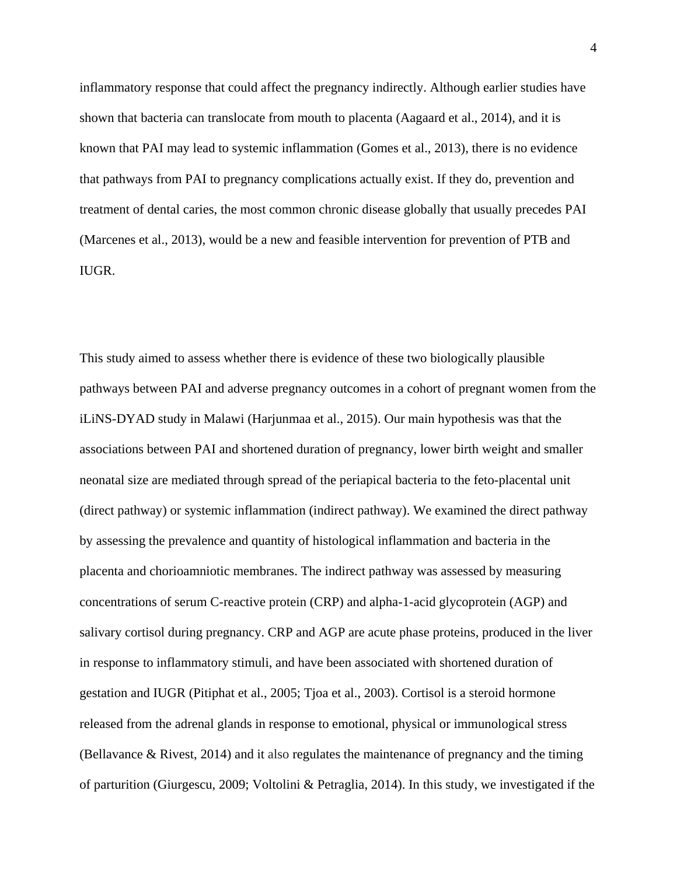inflammatory response that could affect the pregnancy indirectly. Although earlier studies have shown that bacteria can translocate from mouth to placenta (Aagaard et al., 2014), and it is known that PAI may lead to systemic inflammation (Gomes et al., 2013), there is no evidence that pathways from PAI to pregnancy complications actually exist. If they do, prevention and treatment of dental caries, the most common chronic disease globally that usually precedes PAI (Marcenes et al., 2013), would be a new and feasible intervention for prevention of PTB and IUGR.

This study aimed to assess whether there is evidence of these two biologically plausible pathways between PAI and adverse pregnancy outcomes in a cohort of pregnant women from the iLiNS-DYAD study in Malawi (Harjunmaa et al., 2015). Our main hypothesis was that the associations between PAI and shortened duration of pregnancy, lower birth weight and smaller neonatal size are mediated through spread of the periapical bacteria to the feto-placental unit (direct pathway) or systemic inflammation (indirect pathway). We examined the direct pathway by assessing the prevalence and quantity of histological inflammation and bacteria in the placenta and chorioamniotic membranes. The indirect pathway was assessed by measuring concentrations of serum C-reactive protein (CRP) and alpha-1-acid glycoprotein (AGP) and salivary cortisol during pregnancy. CRP and AGP are acute phase proteins, produced in the liver in response to inflammatory stimuli, and have been associated with shortened duration of gestation and IUGR (Pitiphat et al., 2005; Tjoa et al., 2003). Cortisol is a steroid hormone released from the adrenal glands in response to emotional, physical or immunological stress (Bellavance & Rivest, 2014) and it also regulates the maintenance of pregnancy and the timing of parturition (Giurgescu, 2009; Voltolini & Petraglia, 2014). In this study, we investigated if the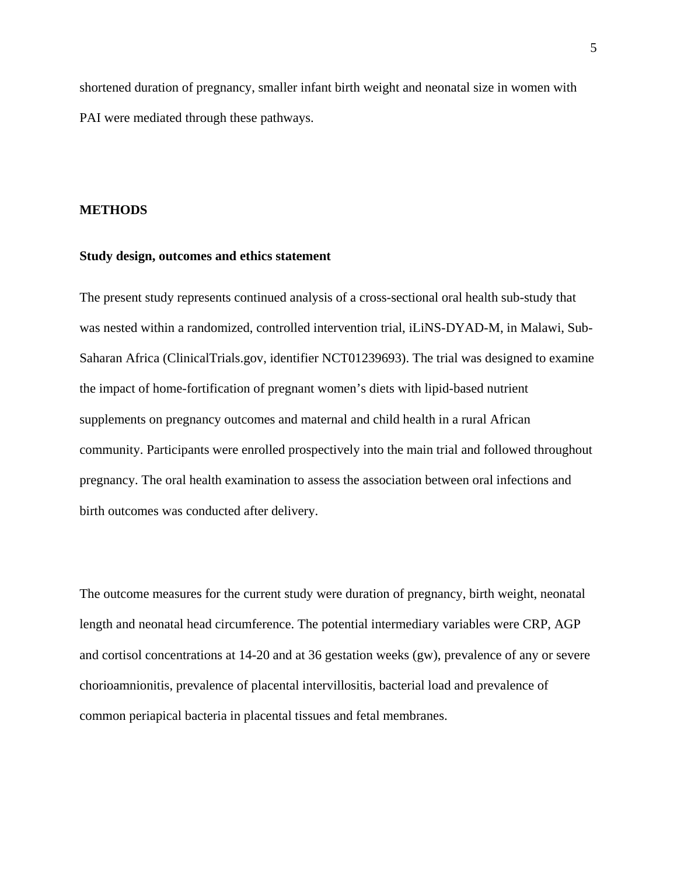shortened duration of pregnancy, smaller infant birth weight and neonatal size in women with PAI were mediated through these pathways.

## **METHODS**

# **Study design, outcomes and ethics statement**

The present study represents continued analysis of a cross-sectional oral health sub-study that was nested within a randomized, controlled intervention trial, iLiNS-DYAD-M, in Malawi, Sub-Saharan Africa (ClinicalTrials.gov, identifier NCT01239693). The trial was designed to examine the impact of home-fortification of pregnant women's diets with lipid-based nutrient supplements on pregnancy outcomes and maternal and child health in a rural African community. Participants were enrolled prospectively into the main trial and followed throughout pregnancy. The oral health examination to assess the association between oral infections and birth outcomes was conducted after delivery.

The outcome measures for the current study were duration of pregnancy, birth weight, neonatal length and neonatal head circumference. The potential intermediary variables were CRP, AGP and cortisol concentrations at 14-20 and at 36 gestation weeks (gw), prevalence of any or severe chorioamnionitis, prevalence of placental intervillositis, bacterial load and prevalence of common periapical bacteria in placental tissues and fetal membranes.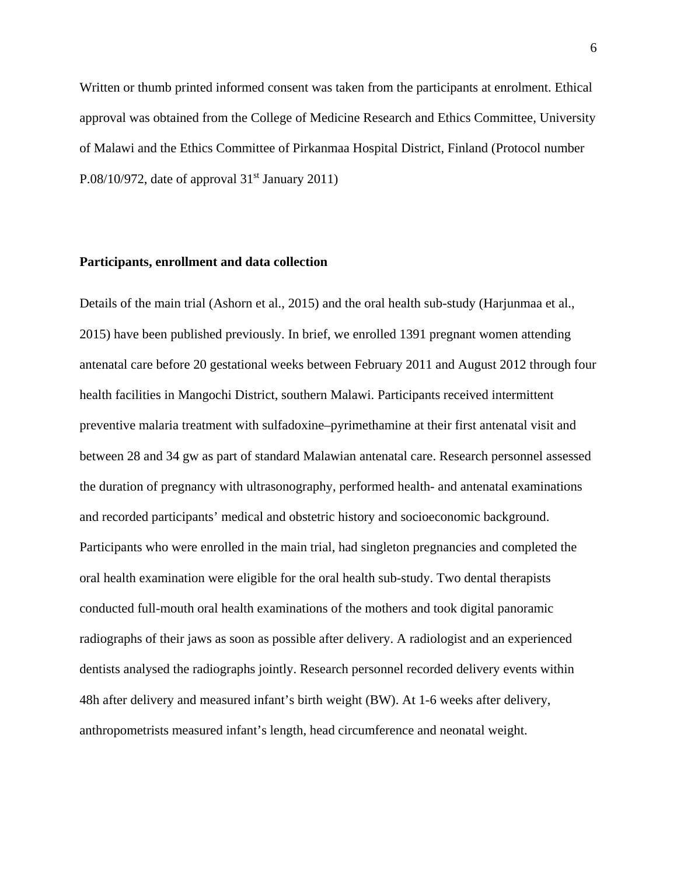Written or thumb printed informed consent was taken from the participants at enrolment. Ethical approval was obtained from the College of Medicine Research and Ethics Committee, University of Malawi and the Ethics Committee of Pirkanmaa Hospital District, Finland (Protocol number P.08/10/972, date of approval  $31<sup>st</sup>$  January 2011)

# **Participants, enrollment and data collection**

Details of the main trial (Ashorn et al., 2015) and the oral health sub-study (Harjunmaa et al., 2015) have been published previously. In brief, we enrolled 1391 pregnant women attending antenatal care before 20 gestational weeks between February 2011 and August 2012 through four health facilities in Mangochi District, southern Malawi. Participants received intermittent preventive malaria treatment with sulfadoxine–pyrimethamine at their first antenatal visit and between 28 and 34 gw as part of standard Malawian antenatal care. Research personnel assessed the duration of pregnancy with ultrasonography, performed health- and antenatal examinations and recorded participants' medical and obstetric history and socioeconomic background. Participants who were enrolled in the main trial, had singleton pregnancies and completed the oral health examination were eligible for the oral health sub-study. Two dental therapists conducted full-mouth oral health examinations of the mothers and took digital panoramic radiographs of their jaws as soon as possible after delivery. A radiologist and an experienced dentists analysed the radiographs jointly. Research personnel recorded delivery events within 48h after delivery and measured infant's birth weight (BW). At 1-6 weeks after delivery, anthropometrists measured infant's length, head circumference and neonatal weight.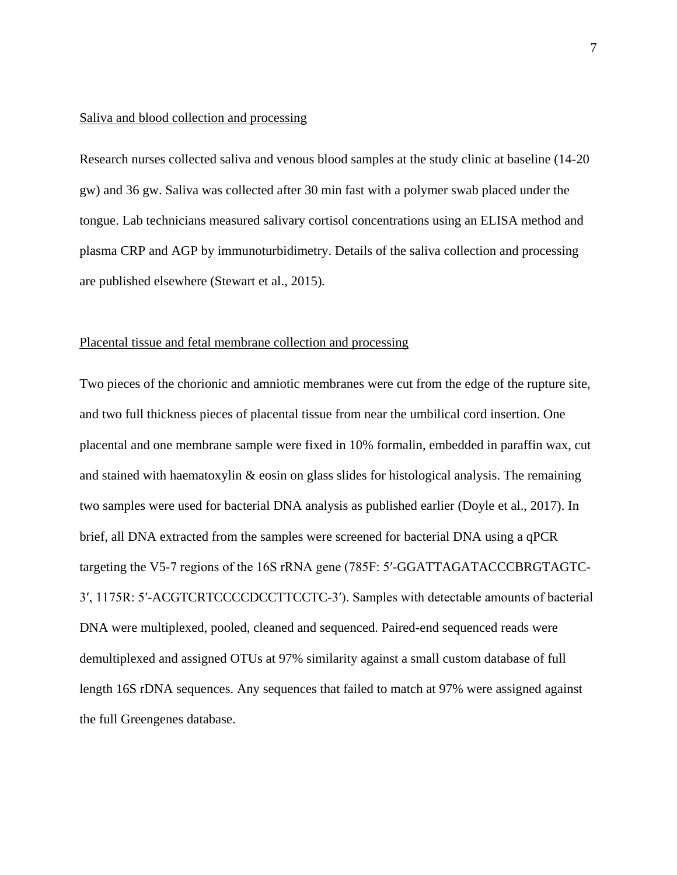# Saliva and blood collection and processing

Research nurses collected saliva and venous blood samples at the study clinic at baseline (14-20 gw) and 36 gw. Saliva was collected after 30 min fast with a polymer swab placed under the tongue. Lab technicians measured salivary cortisol concentrations using an ELISA method and plasma CRP and AGP by immunoturbidimetry. Details of the saliva collection and processing are published elsewhere (Stewart et al., 2015)*.*

# Placental tissue and fetal membrane collection and processing

Two pieces of the chorionic and amniotic membranes were cut from the edge of the rupture site, and two full thickness pieces of placental tissue from near the umbilical cord insertion. One placental and one membrane sample were fixed in 10% formalin, embedded in paraffin wax, cut and stained with haematoxylin & eosin on glass slides for histological analysis. The remaining two samples were used for bacterial DNA analysis as published earlier (Doyle et al., 2017). In brief, all DNA extracted from the samples were screened for bacterial DNA using a qPCR targeting the V5-7 regions of the 16S rRNA gene (785F: 5′-GGATTAGATACCCBRGTAGTC-3′, 1175R: 5′-ACGTCRTCCCCDCCTTCCTC-3′). Samples with detectable amounts of bacterial DNA were multiplexed, pooled, cleaned and sequenced. Paired-end sequenced reads were demultiplexed and assigned OTUs at 97% similarity against a small custom database of full length 16S rDNA sequences. Any sequences that failed to match at 97% were assigned against the full Greengenes database.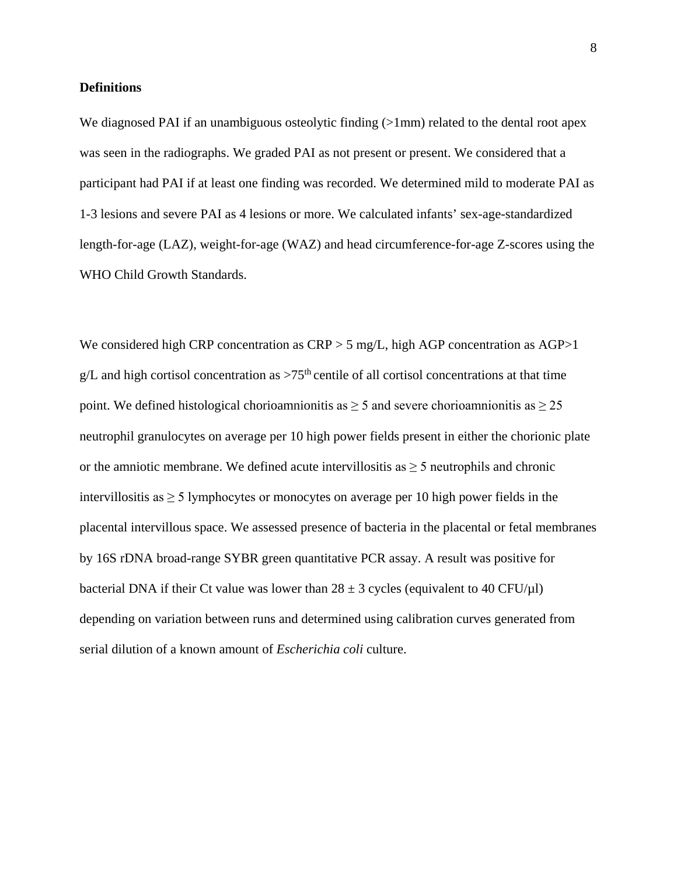## **Definitions**

We diagnosed PAI if an unambiguous osteolytic finding (>1mm) related to the dental root apex was seen in the radiographs. We graded PAI as not present or present. We considered that a participant had PAI if at least one finding was recorded. We determined mild to moderate PAI as 1-3 lesions and severe PAI as 4 lesions or more. We calculated infants' sex-age-standardized length-for-age (LAZ), weight-for-age (WAZ) and head circumference-for-age Z-scores using the WHO Child Growth Standards.

We considered high CRP concentration as CRP > 5 mg/L, high AGP concentration as AGP > 1 g/L and high cortisol concentration as  $>75<sup>th</sup>$  centile of all cortisol concentrations at that time point. We defined histological chorioamnionitis as  $\geq 5$  and severe chorioamnionitis as  $\geq 25$ neutrophil granulocytes on average per 10 high power fields present in either the chorionic plate or the amniotic membrane. We defined acute intervillositis as  $\geq$  5 neutrophils and chronic intervillositis as  $\geq$  5 lymphocytes or monocytes on average per 10 high power fields in the placental intervillous space. We assessed presence of bacteria in the placental or fetal membranes by 16S rDNA broad-range SYBR green quantitative PCR assay. A result was positive for bacterial DNA if their Ct value was lower than  $28 \pm 3$  cycles (equivalent to 40 CFU/µl) depending on variation between runs and determined using calibration curves generated from serial dilution of a known amount of *Escherichia coli* culture.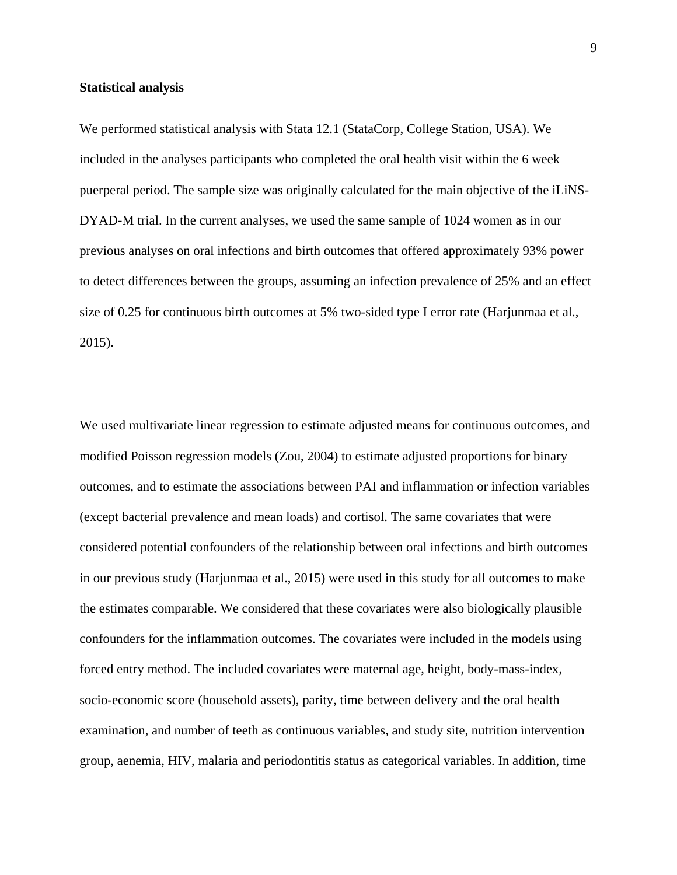# **Statistical analysis**

We performed statistical analysis with Stata 12.1 (StataCorp, College Station, USA). We included in the analyses participants who completed the oral health visit within the 6 week puerperal period. The sample size was originally calculated for the main objective of the iLiNS-DYAD-M trial. In the current analyses, we used the same sample of 1024 women as in our previous analyses on oral infections and birth outcomes that offered approximately 93% power to detect differences between the groups, assuming an infection prevalence of 25% and an effect size of 0.25 for continuous birth outcomes at 5% two-sided type I error rate (Harjunmaa et al., 2015).

We used multivariate linear regression to estimate adjusted means for continuous outcomes, and modified Poisson regression models (Zou, 2004) to estimate adjusted proportions for binary outcomes, and to estimate the associations between PAI and inflammation or infection variables (except bacterial prevalence and mean loads) and cortisol. The same covariates that were considered potential confounders of the relationship between oral infections and birth outcomes in our previous study (Harjunmaa et al., 2015) were used in this study for all outcomes to make the estimates comparable. We considered that these covariates were also biologically plausible confounders for the inflammation outcomes. The covariates were included in the models using forced entry method. The included covariates were maternal age, height, body-mass-index, socio-economic score (household assets), parity, time between delivery and the oral health examination, and number of teeth as continuous variables, and study site, nutrition intervention group, aenemia, HIV, malaria and periodontitis status as categorical variables. In addition, time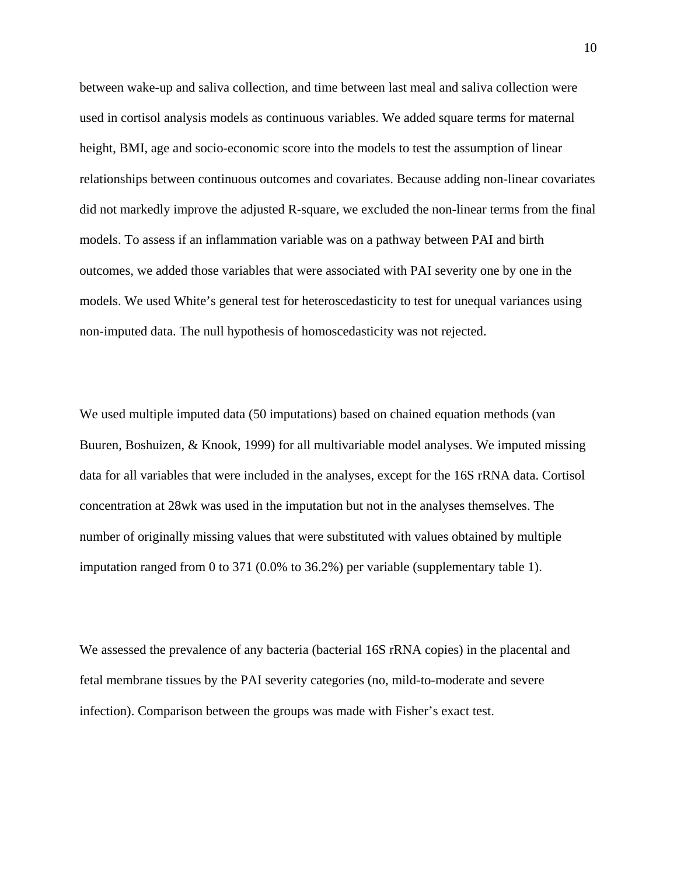between wake-up and saliva collection, and time between last meal and saliva collection were used in cortisol analysis models as continuous variables. We added square terms for maternal height, BMI, age and socio-economic score into the models to test the assumption of linear relationships between continuous outcomes and covariates. Because adding non-linear covariates did not markedly improve the adjusted R-square, we excluded the non-linear terms from the final models. To assess if an inflammation variable was on a pathway between PAI and birth outcomes, we added those variables that were associated with PAI severity one by one in the models. We used White's general test for heteroscedasticity to test for unequal variances using non-imputed data. The null hypothesis of homoscedasticity was not rejected.

We used multiple imputed data (50 imputations) based on chained equation methods (van Buuren, Boshuizen, & Knook, 1999) for all multivariable model analyses. We imputed missing data for all variables that were included in the analyses, except for the 16S rRNA data. Cortisol concentration at 28wk was used in the imputation but not in the analyses themselves. The number of originally missing values that were substituted with values obtained by multiple imputation ranged from 0 to 371 (0.0% to 36.2%) per variable (supplementary table 1).

We assessed the prevalence of any bacteria (bacterial 16S rRNA copies) in the placental and fetal membrane tissues by the PAI severity categories (no, mild-to-moderate and severe infection). Comparison between the groups was made with Fisher's exact test.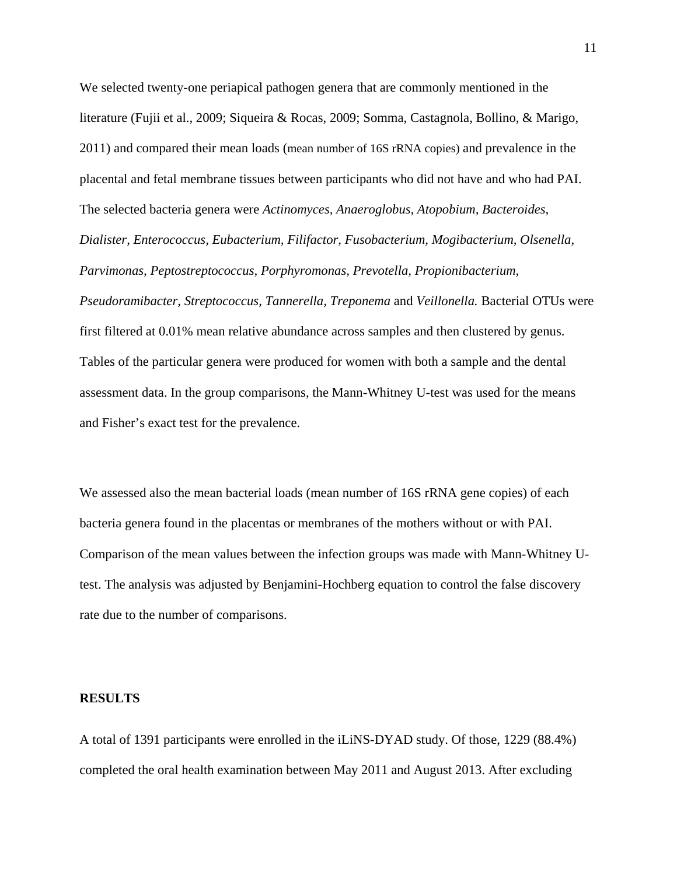We selected twenty-one periapical pathogen genera that are commonly mentioned in the literature (Fujii et al., 2009; Siqueira & Rocas, 2009; Somma, Castagnola, Bollino, & Marigo, 2011) and compared their mean loads (mean number of 16S rRNA copies) and prevalence in the placental and fetal membrane tissues between participants who did not have and who had PAI. The selected bacteria genera were *Actinomyces, Anaeroglobus, Atopobium, Bacteroides, Dialister, Enterococcus, Eubacterium, Filifactor, Fusobacterium, Mogibacterium, Olsenella, Parvimonas, Peptostreptococcus, Porphyromonas, Prevotella, Propionibacterium, Pseudoramibacter, Streptococcus, Tannerella, Treponema* and *Veillonella.* Bacterial OTUs were first filtered at 0.01% mean relative abundance across samples and then clustered by genus. Tables of the particular genera were produced for women with both a sample and the dental assessment data. In the group comparisons, the Mann-Whitney U-test was used for the means and Fisher's exact test for the prevalence.

We assessed also the mean bacterial loads (mean number of 16S rRNA gene copies) of each bacteria genera found in the placentas or membranes of the mothers without or with PAI. Comparison of the mean values between the infection groups was made with Mann-Whitney Utest. The analysis was adjusted by Benjamini-Hochberg equation to control the false discovery rate due to the number of comparisons.

## **RESULTS**

A total of 1391 participants were enrolled in the iLiNS-DYAD study. Of those, 1229 (88.4%) completed the oral health examination between May 2011 and August 2013. After excluding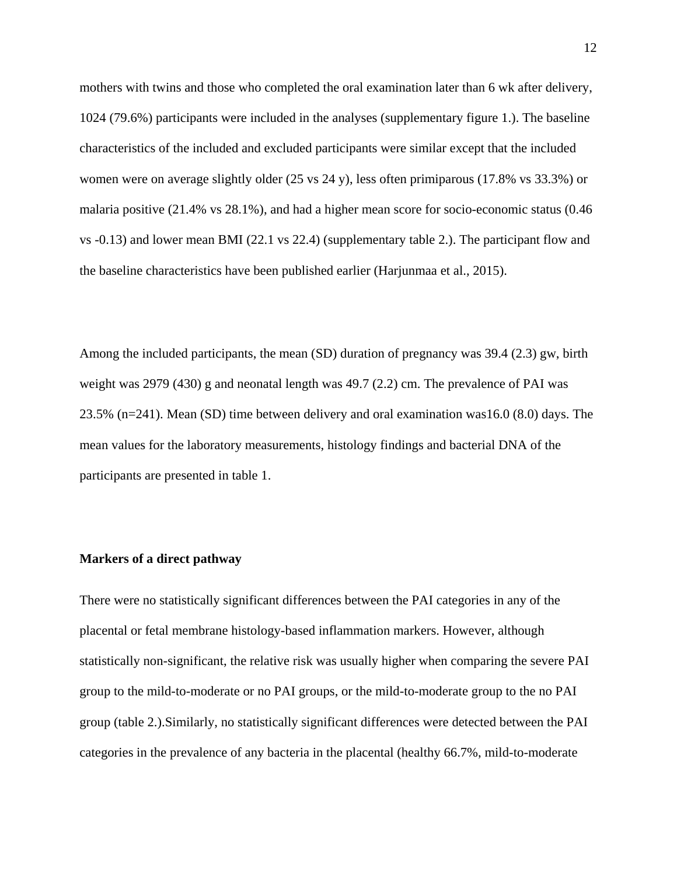mothers with twins and those who completed the oral examination later than 6 wk after delivery, 1024 (79.6%) participants were included in the analyses (supplementary figure 1.). The baseline characteristics of the included and excluded participants were similar except that the included women were on average slightly older (25 vs 24 y), less often primiparous (17.8% vs 33.3%) or malaria positive (21.4% vs 28.1%), and had a higher mean score for socio-economic status (0.46 vs -0.13) and lower mean BMI (22.1 vs 22.4) (supplementary table 2.). The participant flow and the baseline characteristics have been published earlier (Harjunmaa et al., 2015).

Among the included participants, the mean (SD) duration of pregnancy was 39.4 (2.3) gw, birth weight was 2979 (430) g and neonatal length was 49.7 (2.2) cm. The prevalence of PAI was 23.5% (n=241). Mean (SD) time between delivery and oral examination was16.0 (8.0) days. The mean values for the laboratory measurements, histology findings and bacterial DNA of the participants are presented in table 1.

## **Markers of a direct pathway**

There were no statistically significant differences between the PAI categories in any of the placental or fetal membrane histology-based inflammation markers. However, although statistically non-significant, the relative risk was usually higher when comparing the severe PAI group to the mild-to-moderate or no PAI groups, or the mild-to-moderate group to the no PAI group (table 2.).Similarly, no statistically significant differences were detected between the PAI categories in the prevalence of any bacteria in the placental (healthy 66.7%, mild-to-moderate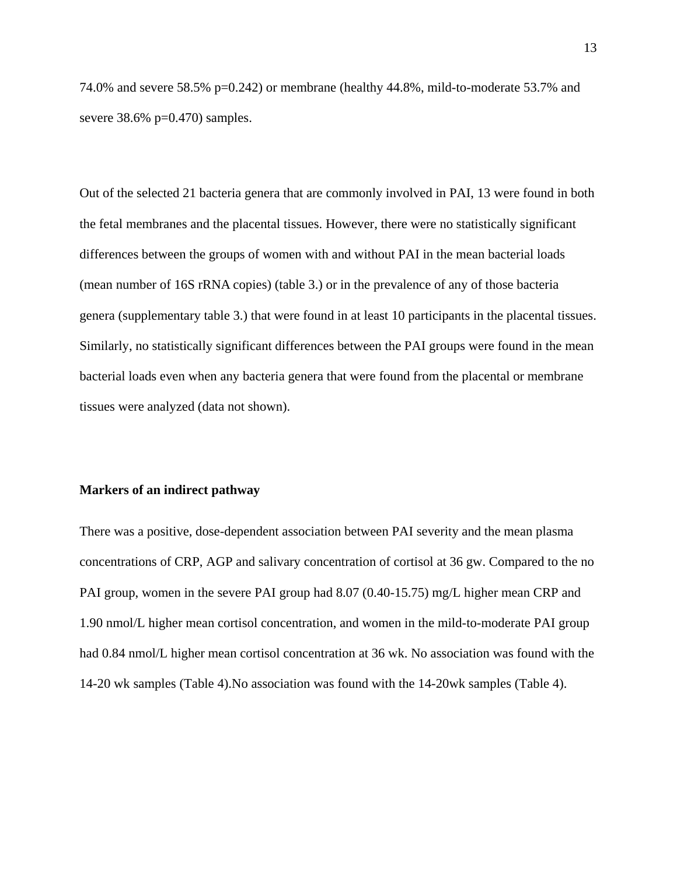74.0% and severe 58.5% p=0.242) or membrane (healthy 44.8%, mild-to-moderate 53.7% and severe  $38.6\%$  p=0.470) samples.

Out of the selected 21 bacteria genera that are commonly involved in PAI, 13 were found in both the fetal membranes and the placental tissues. However, there were no statistically significant differences between the groups of women with and without PAI in the mean bacterial loads (mean number of 16S rRNA copies) (table 3.) or in the prevalence of any of those bacteria genera (supplementary table 3.) that were found in at least 10 participants in the placental tissues. Similarly, no statistically significant differences between the PAI groups were found in the mean bacterial loads even when any bacteria genera that were found from the placental or membrane tissues were analyzed (data not shown).

#### **Markers of an indirect pathway**

There was a positive, dose-dependent association between PAI severity and the mean plasma concentrations of CRP, AGP and salivary concentration of cortisol at 36 gw. Compared to the no PAI group, women in the severe PAI group had 8.07 (0.40-15.75) mg/L higher mean CRP and 1.90 nmol/L higher mean cortisol concentration, and women in the mild-to-moderate PAI group had 0.84 nmol/L higher mean cortisol concentration at 36 wk. No association was found with the 14-20 wk samples (Table 4).No association was found with the 14-20wk samples (Table 4).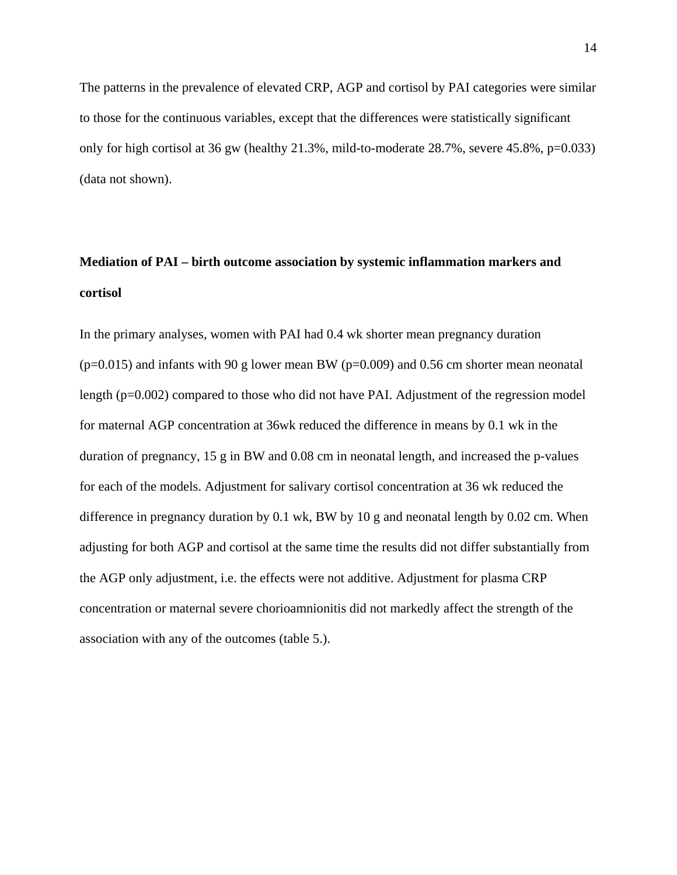The patterns in the prevalence of elevated CRP, AGP and cortisol by PAI categories were similar to those for the continuous variables, except that the differences were statistically significant only for high cortisol at 36 gw (healthy 21.3%, mild-to-moderate 28.7%, severe 45.8%, p=0.033) (data not shown).

# **Mediation of PAI – birth outcome association by systemic inflammation markers and cortisol**

In the primary analyses, women with PAI had 0.4 wk shorter mean pregnancy duration  $(p=0.015)$  and infants with 90 g lower mean BW ( $p=0.009$ ) and 0.56 cm shorter mean neonatal length (p=0.002) compared to those who did not have PAI. Adjustment of the regression model for maternal AGP concentration at 36wk reduced the difference in means by 0.1 wk in the duration of pregnancy, 15 g in BW and 0.08 cm in neonatal length, and increased the p-values for each of the models. Adjustment for salivary cortisol concentration at 36 wk reduced the difference in pregnancy duration by 0.1 wk, BW by 10 g and neonatal length by 0.02 cm. When adjusting for both AGP and cortisol at the same time the results did not differ substantially from the AGP only adjustment, i.e. the effects were not additive. Adjustment for plasma CRP concentration or maternal severe chorioamnionitis did not markedly affect the strength of the association with any of the outcomes (table 5.).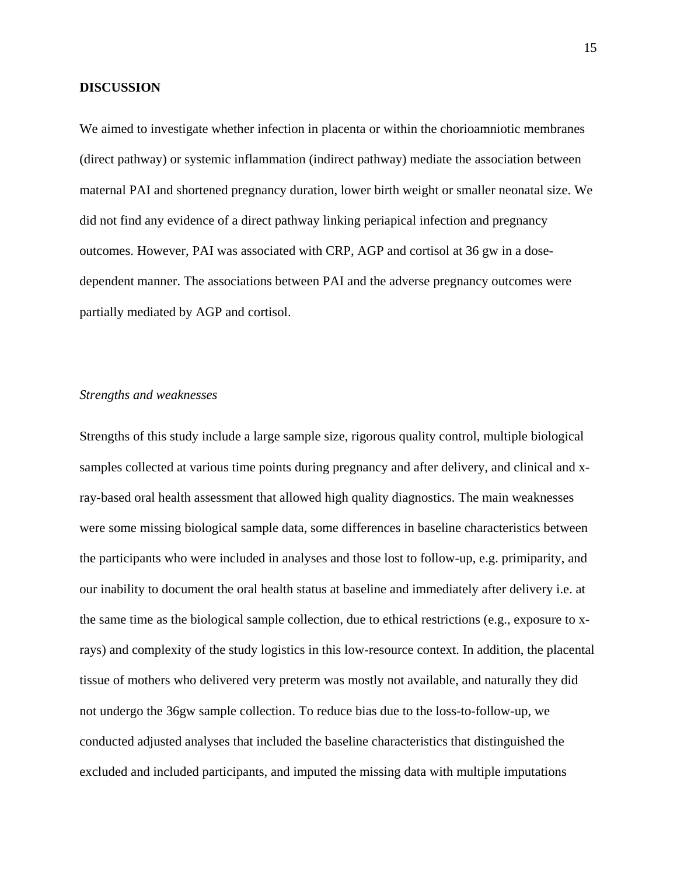# **DISCUSSION**

We aimed to investigate whether infection in placenta or within the chorioamniotic membranes (direct pathway) or systemic inflammation (indirect pathway) mediate the association between maternal PAI and shortened pregnancy duration, lower birth weight or smaller neonatal size. We did not find any evidence of a direct pathway linking periapical infection and pregnancy outcomes. However, PAI was associated with CRP, AGP and cortisol at 36 gw in a dosedependent manner. The associations between PAI and the adverse pregnancy outcomes were partially mediated by AGP and cortisol.

# *Strengths and weaknesses*

Strengths of this study include a large sample size, rigorous quality control, multiple biological samples collected at various time points during pregnancy and after delivery, and clinical and xray-based oral health assessment that allowed high quality diagnostics. The main weaknesses were some missing biological sample data, some differences in baseline characteristics between the participants who were included in analyses and those lost to follow-up, e.g. primiparity, and our inability to document the oral health status at baseline and immediately after delivery i.e. at the same time as the biological sample collection, due to ethical restrictions (e.g., exposure to xrays) and complexity of the study logistics in this low-resource context. In addition, the placental tissue of mothers who delivered very preterm was mostly not available, and naturally they did not undergo the 36gw sample collection. To reduce bias due to the loss-to-follow-up, we conducted adjusted analyses that included the baseline characteristics that distinguished the excluded and included participants, and imputed the missing data with multiple imputations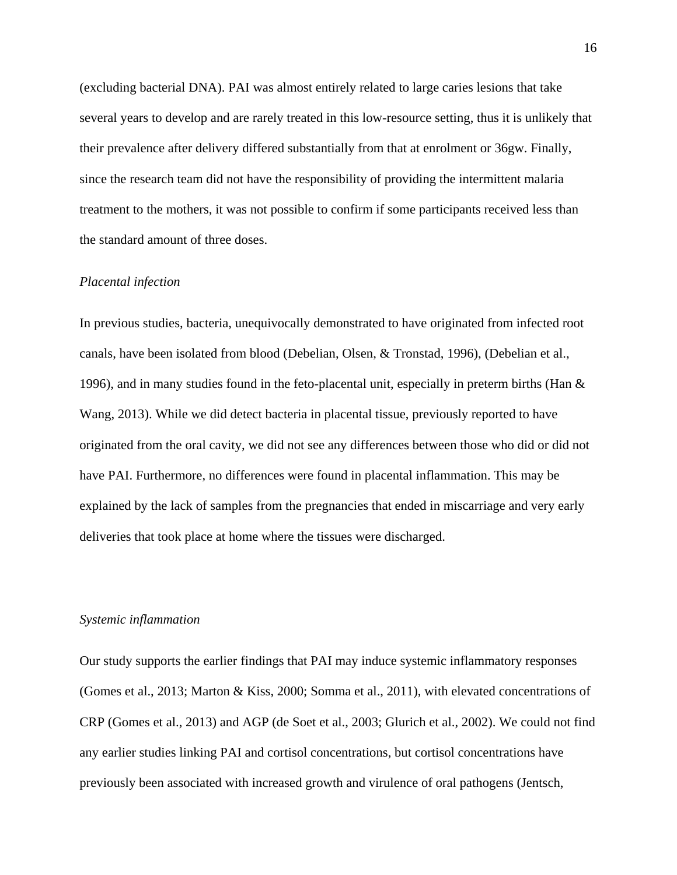(excluding bacterial DNA). PAI was almost entirely related to large caries lesions that take several years to develop and are rarely treated in this low-resource setting, thus it is unlikely that their prevalence after delivery differed substantially from that at enrolment or 36gw. Finally, since the research team did not have the responsibility of providing the intermittent malaria treatment to the mothers, it was not possible to confirm if some participants received less than the standard amount of three doses.

# *Placental infection*

In previous studies, bacteria, unequivocally demonstrated to have originated from infected root canals, have been isolated from blood (Debelian, Olsen, & Tronstad, 1996), (Debelian et al., 1996), and in many studies found in the feto-placental unit, especially in preterm births (Han & Wang, 2013). While we did detect bacteria in placental tissue, previously reported to have originated from the oral cavity, we did not see any differences between those who did or did not have PAI. Furthermore, no differences were found in placental inflammation. This may be explained by the lack of samples from the pregnancies that ended in miscarriage and very early deliveries that took place at home where the tissues were discharged.

# *Systemic inflammation*

Our study supports the earlier findings that PAI may induce systemic inflammatory responses (Gomes et al., 2013; Marton & Kiss, 2000; Somma et al., 2011), with elevated concentrations of CRP (Gomes et al., 2013) and AGP (de Soet et al., 2003; Glurich et al., 2002). We could not find any earlier studies linking PAI and cortisol concentrations, but cortisol concentrations have previously been associated with increased growth and virulence of oral pathogens (Jentsch,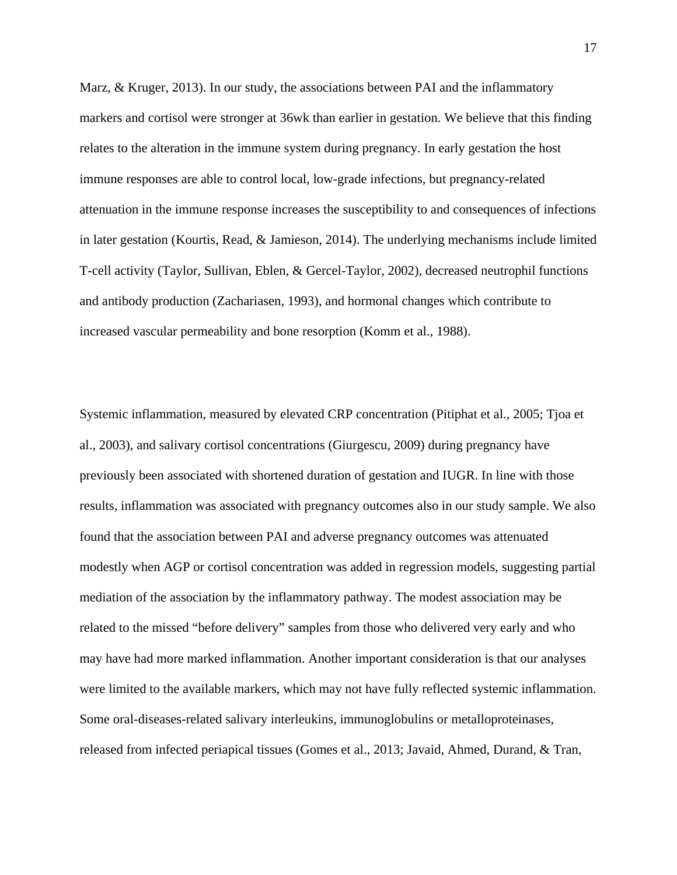Marz, & Kruger, 2013). In our study, the associations between PAI and the inflammatory markers and cortisol were stronger at 36wk than earlier in gestation. We believe that this finding relates to the alteration in the immune system during pregnancy. In early gestation the host immune responses are able to control local, low-grade infections, but pregnancy-related attenuation in the immune response increases the susceptibility to and consequences of infections in later gestation (Kourtis, Read, & Jamieson, 2014). The underlying mechanisms include limited T-cell activity (Taylor, Sullivan, Eblen, & Gercel-Taylor, 2002), decreased neutrophil functions and antibody production (Zachariasen, 1993), and hormonal changes which contribute to increased vascular permeability and bone resorption (Komm et al., 1988).

Systemic inflammation, measured by elevated CRP concentration (Pitiphat et al., 2005; Tjoa et al., 2003), and salivary cortisol concentrations (Giurgescu, 2009) during pregnancy have previously been associated with shortened duration of gestation and IUGR. In line with those results, inflammation was associated with pregnancy outcomes also in our study sample. We also found that the association between PAI and adverse pregnancy outcomes was attenuated modestly when AGP or cortisol concentration was added in regression models, suggesting partial mediation of the association by the inflammatory pathway. The modest association may be related to the missed "before delivery" samples from those who delivered very early and who may have had more marked inflammation. Another important consideration is that our analyses were limited to the available markers, which may not have fully reflected systemic inflammation. Some oral-diseases-related salivary interleukins, immunoglobulins or metalloproteinases, released from infected periapical tissues (Gomes et al., 2013; Javaid, Ahmed, Durand, & Tran,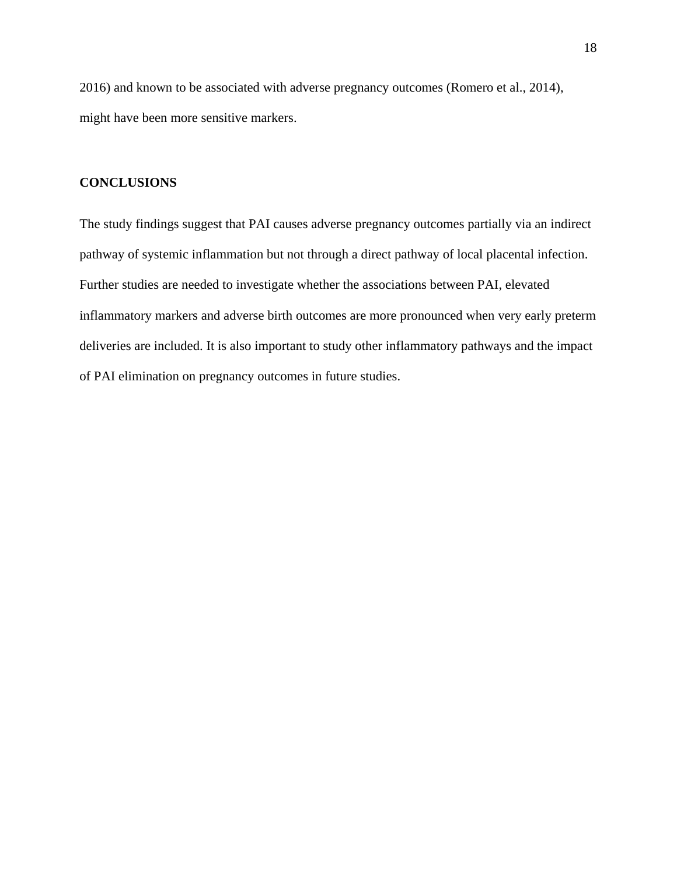2016) and known to be associated with adverse pregnancy outcomes (Romero et al., 2014), might have been more sensitive markers.

# **CONCLUSIONS**

The study findings suggest that PAI causes adverse pregnancy outcomes partially via an indirect pathway of systemic inflammation but not through a direct pathway of local placental infection. Further studies are needed to investigate whether the associations between PAI, elevated inflammatory markers and adverse birth outcomes are more pronounced when very early preterm deliveries are included. It is also important to study other inflammatory pathways and the impact of PAI elimination on pregnancy outcomes in future studies.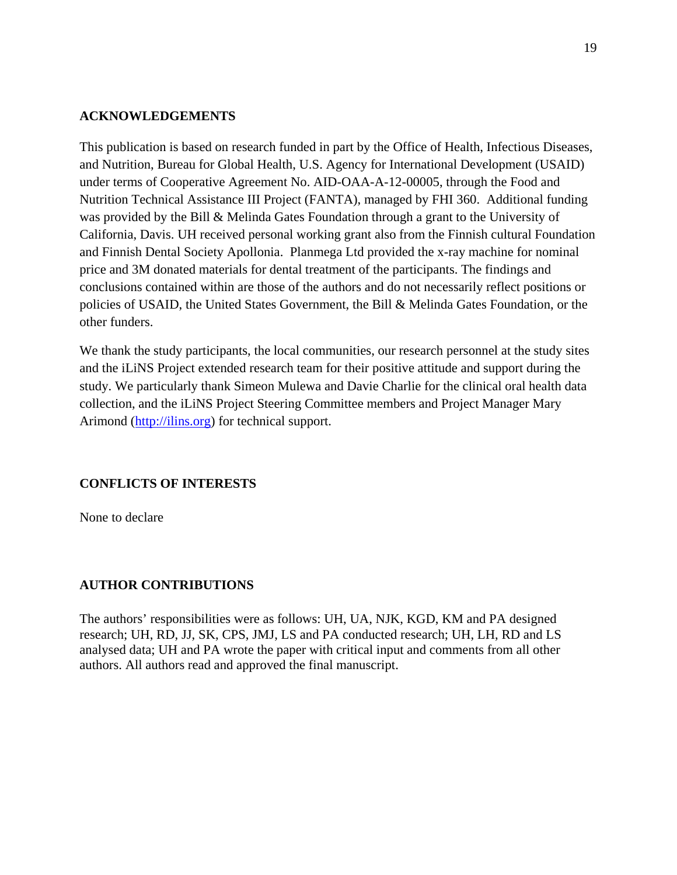# **ACKNOWLEDGEMENTS**

This publication is based on research funded in part by the Office of Health, Infectious Diseases, and Nutrition, Bureau for Global Health, U.S. Agency for International Development (USAID) under terms of Cooperative Agreement No. AID-OAA-A-12-00005, through the Food and Nutrition Technical Assistance III Project (FANTA), managed by FHI 360. Additional funding was provided by the Bill & Melinda Gates Foundation through a grant to the University of California, Davis. UH received personal working grant also from the Finnish cultural Foundation and Finnish Dental Society Apollonia. Planmega Ltd provided the x-ray machine for nominal price and 3M donated materials for dental treatment of the participants. The findings and conclusions contained within are those of the authors and do not necessarily reflect positions or policies of USAID, the United States Government, the Bill & Melinda Gates Foundation, or the other funders.

We thank the study participants, the local communities, our research personnel at the study sites and the iLiNS Project extended research team for their positive attitude and support during the study. We particularly thank Simeon Mulewa and Davie Charlie for the clinical oral health data collection, and the iLiNS Project Steering Committee members and Project Manager Mary Arimond [\(http://ilins.org\)](http://ilins.org/) for technical support.

# **CONFLICTS OF INTERESTS**

None to declare

# **AUTHOR CONTRIBUTIONS**

The authors' responsibilities were as follows: UH, UA, NJK, KGD, KM and PA designed research; UH, RD, JJ, SK, CPS, JMJ, LS and PA conducted research; UH, LH, RD and LS analysed data; UH and PA wrote the paper with critical input and comments from all other authors. All authors read and approved the final manuscript.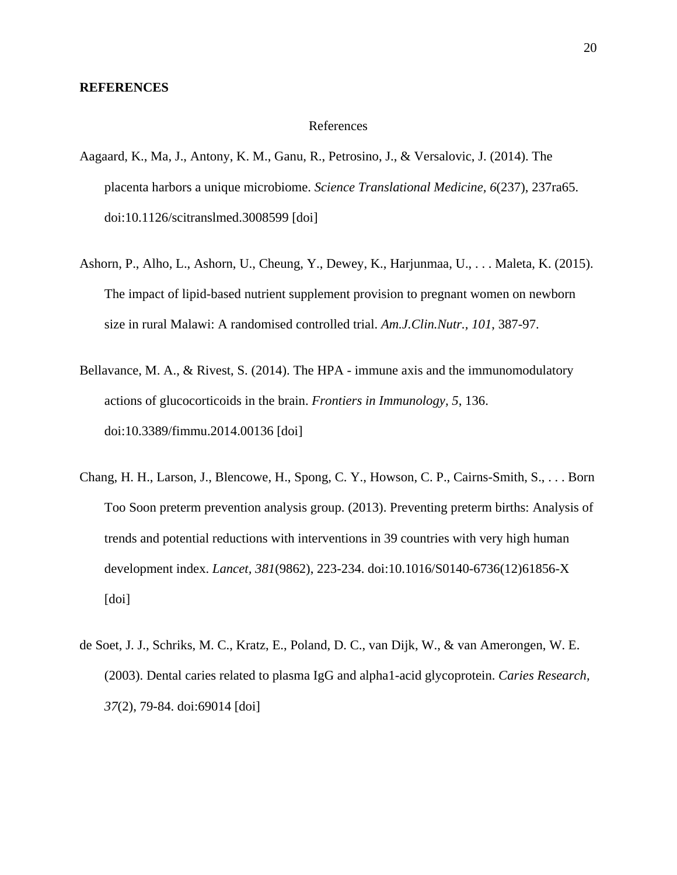## **REFERENCES**

#### References

- Aagaard, K., Ma, J., Antony, K. M., Ganu, R., Petrosino, J., & Versalovic, J. (2014). The placenta harbors a unique microbiome. *Science Translational Medicine, 6*(237), 237ra65. doi:10.1126/scitranslmed.3008599 [doi]
- Ashorn, P., Alho, L., Ashorn, U., Cheung, Y., Dewey, K., Harjunmaa, U., . . . Maleta, K. (2015). The impact of lipid-based nutrient supplement provision to pregnant women on newborn size in rural Malawi: A randomised controlled trial. *Am.J.Clin.Nutr., 101*, 387-97.
- Bellavance, M. A., & Rivest, S. (2014). The HPA immune axis and the immunomodulatory actions of glucocorticoids in the brain. *Frontiers in Immunology, 5*, 136. doi:10.3389/fimmu.2014.00136 [doi]
- Chang, H. H., Larson, J., Blencowe, H., Spong, C. Y., Howson, C. P., Cairns-Smith, S., . . . Born Too Soon preterm prevention analysis group. (2013). Preventing preterm births: Analysis of trends and potential reductions with interventions in 39 countries with very high human development index. *Lancet, 381*(9862), 223-234. doi:10.1016/S0140-6736(12)61856-X [doi]
- de Soet, J. J., Schriks, M. C., Kratz, E., Poland, D. C., van Dijk, W., & van Amerongen, W. E. (2003). Dental caries related to plasma IgG and alpha1-acid glycoprotein. *Caries Research, 37*(2), 79-84. doi:69014 [doi]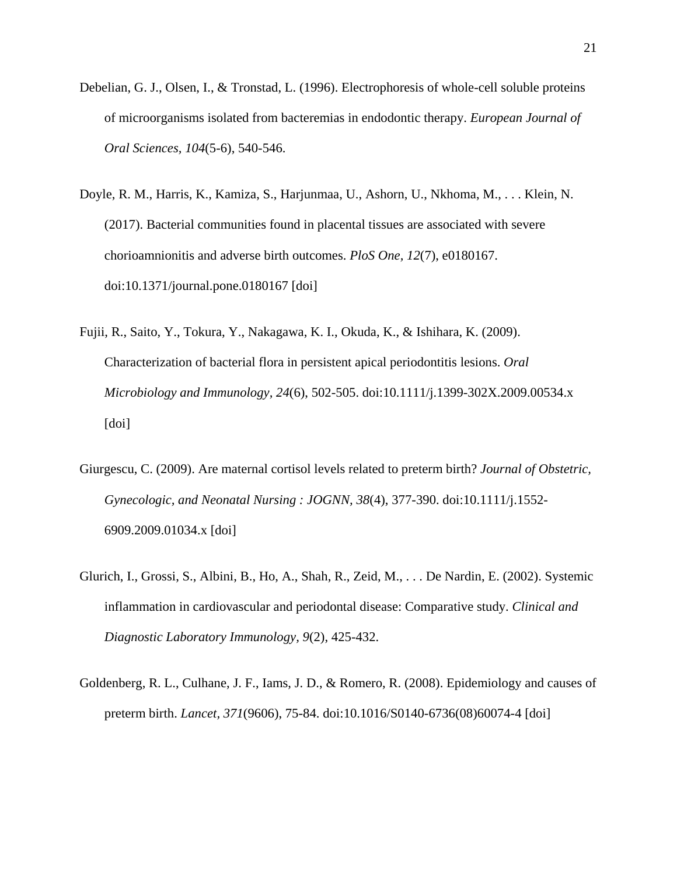- Debelian, G. J., Olsen, I., & Tronstad, L. (1996). Electrophoresis of whole-cell soluble proteins of microorganisms isolated from bacteremias in endodontic therapy. *European Journal of Oral Sciences, 104*(5-6), 540-546.
- Doyle, R. M., Harris, K., Kamiza, S., Harjunmaa, U., Ashorn, U., Nkhoma, M., . . . Klein, N. (2017). Bacterial communities found in placental tissues are associated with severe chorioamnionitis and adverse birth outcomes. *PloS One, 12*(7), e0180167. doi:10.1371/journal.pone.0180167 [doi]
- Fujii, R., Saito, Y., Tokura, Y., Nakagawa, K. I., Okuda, K., & Ishihara, K. (2009). Characterization of bacterial flora in persistent apical periodontitis lesions. *Oral Microbiology and Immunology, 24*(6), 502-505. doi:10.1111/j.1399-302X.2009.00534.x [doi]
- Giurgescu, C. (2009). Are maternal cortisol levels related to preterm birth? *Journal of Obstetric, Gynecologic, and Neonatal Nursing : JOGNN, 38*(4), 377-390. doi:10.1111/j.1552- 6909.2009.01034.x [doi]
- Glurich, I., Grossi, S., Albini, B., Ho, A., Shah, R., Zeid, M., . . . De Nardin, E. (2002). Systemic inflammation in cardiovascular and periodontal disease: Comparative study. *Clinical and Diagnostic Laboratory Immunology, 9*(2), 425-432.
- Goldenberg, R. L., Culhane, J. F., Iams, J. D., & Romero, R. (2008). Epidemiology and causes of preterm birth. *Lancet, 371*(9606), 75-84. doi:10.1016/S0140-6736(08)60074-4 [doi]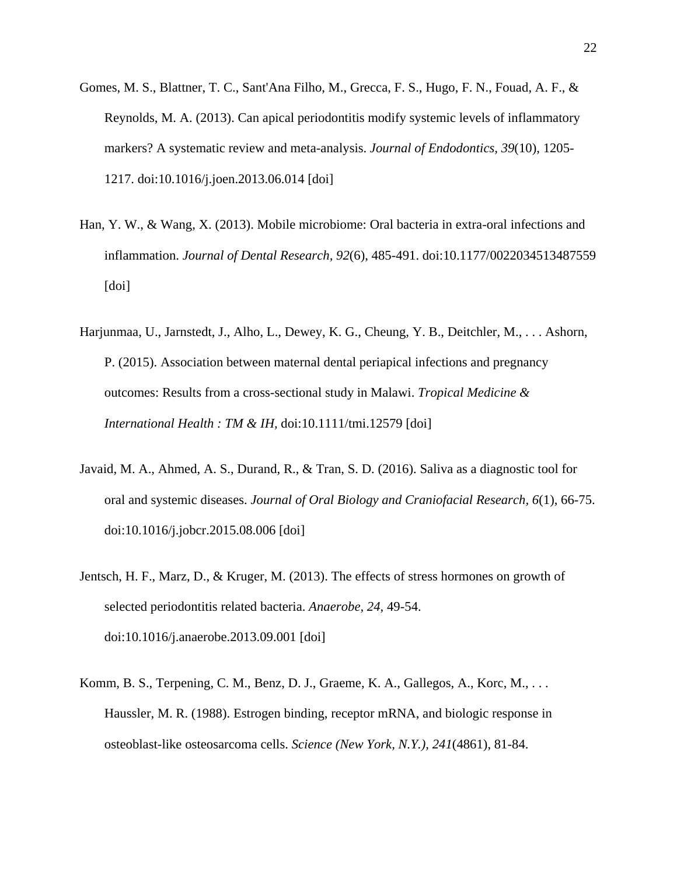- Gomes, M. S., Blattner, T. C., Sant'Ana Filho, M., Grecca, F. S., Hugo, F. N., Fouad, A. F., & Reynolds, M. A. (2013). Can apical periodontitis modify systemic levels of inflammatory markers? A systematic review and meta-analysis. *Journal of Endodontics, 39*(10), 1205- 1217. doi:10.1016/j.joen.2013.06.014 [doi]
- Han, Y. W., & Wang, X. (2013). Mobile microbiome: Oral bacteria in extra-oral infections and inflammation. *Journal of Dental Research, 92*(6), 485-491. doi:10.1177/0022034513487559 [doi]
- Harjunmaa, U., Jarnstedt, J., Alho, L., Dewey, K. G., Cheung, Y. B., Deitchler, M., . . . Ashorn, P. (2015). Association between maternal dental periapical infections and pregnancy outcomes: Results from a cross-sectional study in Malawi. *Tropical Medicine & International Health : TM & IH,* doi:10.1111/tmi.12579 [doi]
- Javaid, M. A., Ahmed, A. S., Durand, R., & Tran, S. D. (2016). Saliva as a diagnostic tool for oral and systemic diseases. *Journal of Oral Biology and Craniofacial Research, 6*(1), 66-75. doi:10.1016/j.jobcr.2015.08.006 [doi]
- Jentsch, H. F., Marz, D., & Kruger, M. (2013). The effects of stress hormones on growth of selected periodontitis related bacteria. *Anaerobe, 24*, 49-54. doi:10.1016/j.anaerobe.2013.09.001 [doi]
- Komm, B. S., Terpening, C. M., Benz, D. J., Graeme, K. A., Gallegos, A., Korc, M., . . . Haussler, M. R. (1988). Estrogen binding, receptor mRNA, and biologic response in osteoblast-like osteosarcoma cells. *Science (New York, N.Y.), 241*(4861), 81-84.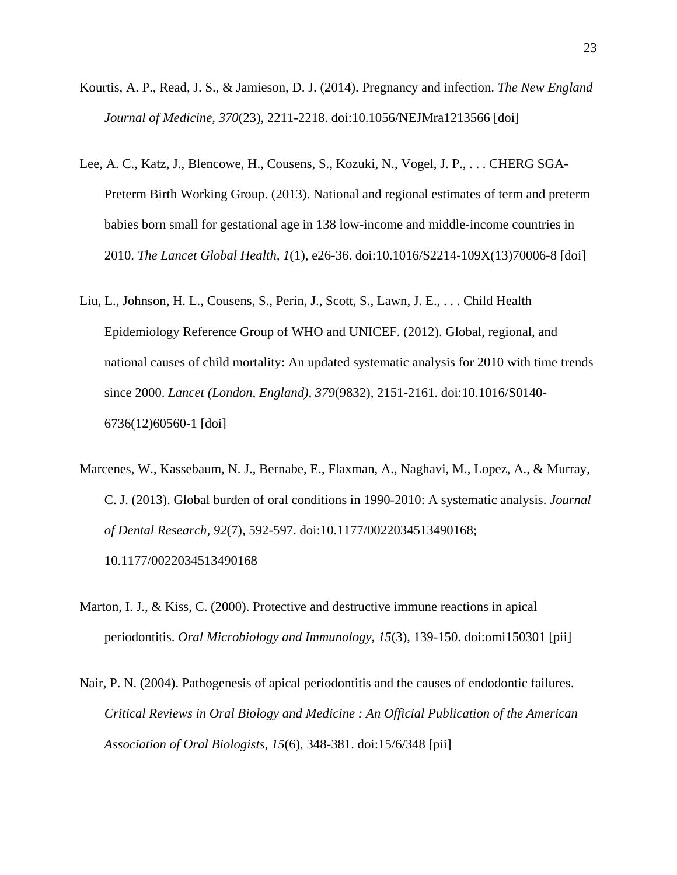- Kourtis, A. P., Read, J. S., & Jamieson, D. J. (2014). Pregnancy and infection. *The New England Journal of Medicine, 370*(23), 2211-2218. doi:10.1056/NEJMra1213566 [doi]
- Lee, A. C., Katz, J., Blencowe, H., Cousens, S., Kozuki, N., Vogel, J. P., . . . CHERG SGA-Preterm Birth Working Group. (2013). National and regional estimates of term and preterm babies born small for gestational age in 138 low-income and middle-income countries in 2010. *The Lancet Global Health, 1*(1), e26-36. doi:10.1016/S2214-109X(13)70006-8 [doi]
- Liu, L., Johnson, H. L., Cousens, S., Perin, J., Scott, S., Lawn, J. E., . . . Child Health Epidemiology Reference Group of WHO and UNICEF. (2012). Global, regional, and national causes of child mortality: An updated systematic analysis for 2010 with time trends since 2000. *Lancet (London, England), 379*(9832), 2151-2161. doi:10.1016/S0140- 6736(12)60560-1 [doi]
- Marcenes, W., Kassebaum, N. J., Bernabe, E., Flaxman, A., Naghavi, M., Lopez, A., & Murray, C. J. (2013). Global burden of oral conditions in 1990-2010: A systematic analysis. *Journal of Dental Research, 92*(7), 592-597. doi:10.1177/0022034513490168; 10.1177/0022034513490168
- Marton, I. J., & Kiss, C. (2000). Protective and destructive immune reactions in apical periodontitis. *Oral Microbiology and Immunology, 15*(3), 139-150. doi:omi150301 [pii]
- Nair, P. N. (2004). Pathogenesis of apical periodontitis and the causes of endodontic failures. *Critical Reviews in Oral Biology and Medicine : An Official Publication of the American Association of Oral Biologists, 15*(6), 348-381. doi:15/6/348 [pii]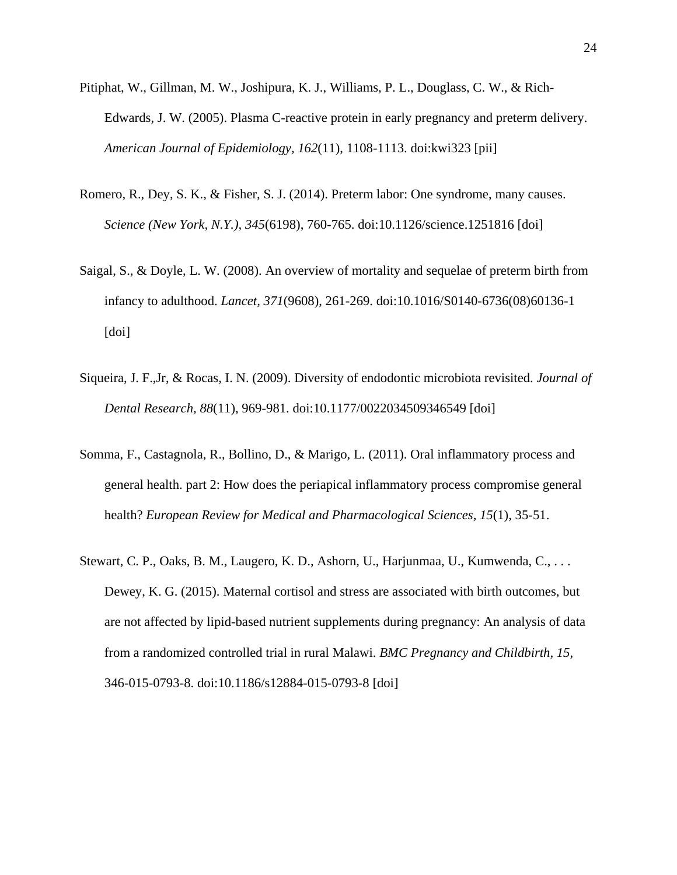- Pitiphat, W., Gillman, M. W., Joshipura, K. J., Williams, P. L., Douglass, C. W., & Rich-Edwards, J. W. (2005). Plasma C-reactive protein in early pregnancy and preterm delivery. *American Journal of Epidemiology, 162*(11), 1108-1113. doi:kwi323 [pii]
- Romero, R., Dey, S. K., & Fisher, S. J. (2014). Preterm labor: One syndrome, many causes. *Science (New York, N.Y.), 345*(6198), 760-765. doi:10.1126/science.1251816 [doi]
- Saigal, S., & Doyle, L. W. (2008). An overview of mortality and sequelae of preterm birth from infancy to adulthood. *Lancet, 371*(9608), 261-269. doi:10.1016/S0140-6736(08)60136-1 [doi]
- Siqueira, J. F.,Jr, & Rocas, I. N. (2009). Diversity of endodontic microbiota revisited. *Journal of Dental Research, 88*(11), 969-981. doi:10.1177/0022034509346549 [doi]
- Somma, F., Castagnola, R., Bollino, D., & Marigo, L. (2011). Oral inflammatory process and general health. part 2: How does the periapical inflammatory process compromise general health? *European Review for Medical and Pharmacological Sciences, 15*(1), 35-51.
- Stewart, C. P., Oaks, B. M., Laugero, K. D., Ashorn, U., Harjunmaa, U., Kumwenda, C., . . . Dewey, K. G. (2015). Maternal cortisol and stress are associated with birth outcomes, but are not affected by lipid-based nutrient supplements during pregnancy: An analysis of data from a randomized controlled trial in rural Malawi. *BMC Pregnancy and Childbirth, 15*, 346-015-0793-8. doi:10.1186/s12884-015-0793-8 [doi]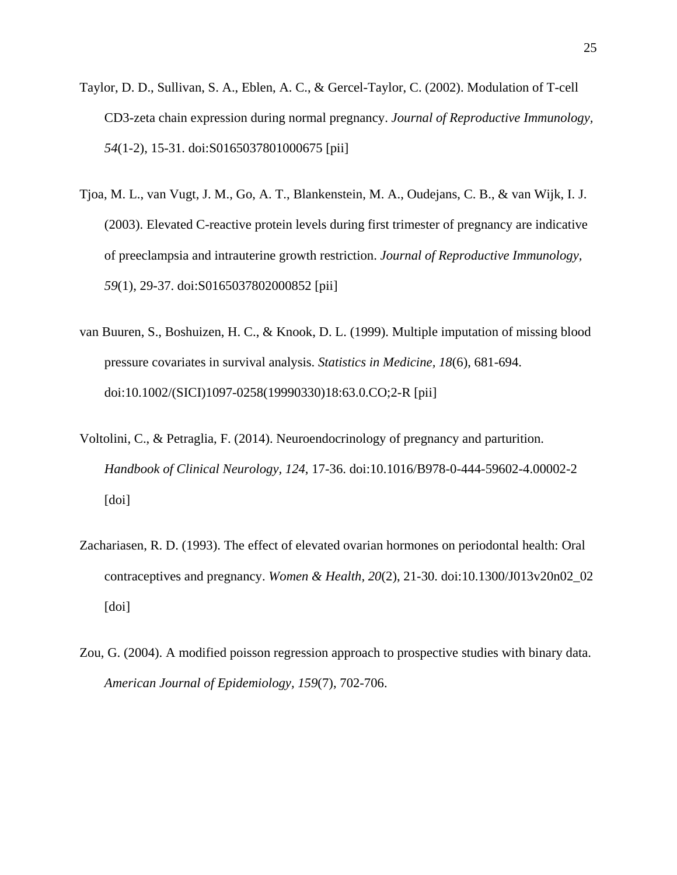- Taylor, D. D., Sullivan, S. A., Eblen, A. C., & Gercel-Taylor, C. (2002). Modulation of T-cell CD3-zeta chain expression during normal pregnancy. *Journal of Reproductive Immunology, 54*(1-2), 15-31. doi:S0165037801000675 [pii]
- Tjoa, M. L., van Vugt, J. M., Go, A. T., Blankenstein, M. A., Oudejans, C. B., & van Wijk, I. J. (2003). Elevated C-reactive protein levels during first trimester of pregnancy are indicative of preeclampsia and intrauterine growth restriction. *Journal of Reproductive Immunology, 59*(1), 29-37. doi:S0165037802000852 [pii]
- van Buuren, S., Boshuizen, H. C., & Knook, D. L. (1999). Multiple imputation of missing blood pressure covariates in survival analysis. *Statistics in Medicine, 18*(6), 681-694. doi:10.1002/(SICI)1097-0258(19990330)18:63.0.CO;2-R [pii]
- Voltolini, C., & Petraglia, F. (2014). Neuroendocrinology of pregnancy and parturition. *Handbook of Clinical Neurology, 124*, 17-36. doi:10.1016/B978-0-444-59602-4.00002-2 [doi]
- Zachariasen, R. D. (1993). The effect of elevated ovarian hormones on periodontal health: Oral contraceptives and pregnancy. *Women & Health, 20*(2), 21-30. doi:10.1300/J013v20n02\_02 [doi]
- Zou, G. (2004). A modified poisson regression approach to prospective studies with binary data. *American Journal of Epidemiology, 159*(7), 702-706.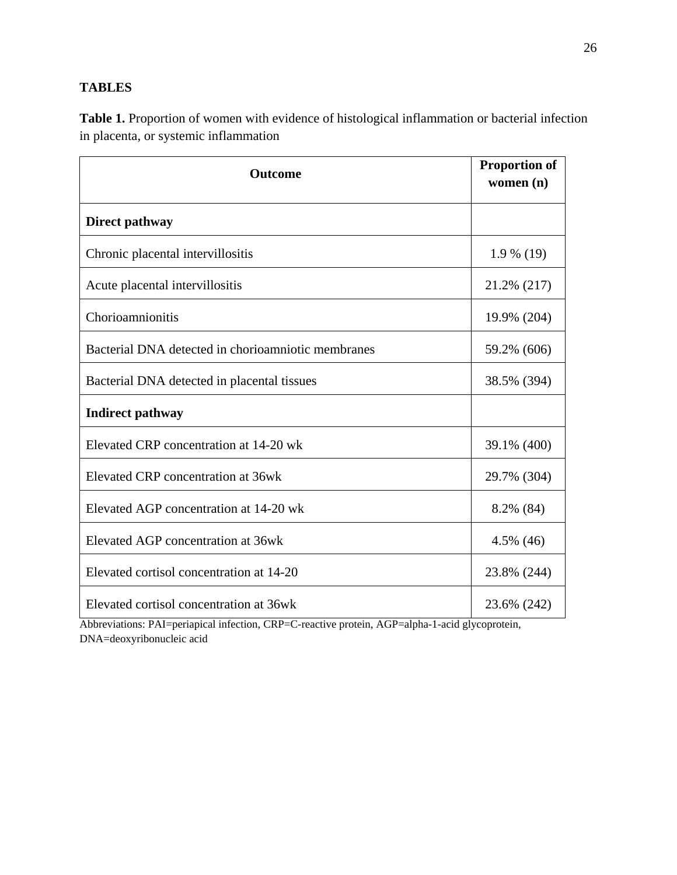# **TABLES**

**Table 1.** Proportion of women with evidence of histological inflammation or bacterial infection in placenta, or systemic inflammation

| <b>Outcome</b>                                     | <b>Proportion of</b><br>women (n) |
|----------------------------------------------------|-----------------------------------|
| Direct pathway                                     |                                   |
| Chronic placental intervillositis                  | $1.9\%$ (19)                      |
| Acute placental intervillositis                    | 21.2% (217)                       |
| Chorioamnionitis                                   | 19.9% (204)                       |
| Bacterial DNA detected in chorioamniotic membranes | 59.2% (606)                       |
| Bacterial DNA detected in placental tissues        | 38.5% (394)                       |
| <b>Indirect pathway</b>                            |                                   |
| Elevated CRP concentration at 14-20 wk             | 39.1% (400)                       |
| Elevated CRP concentration at 36wk                 | 29.7% (304)                       |
| Elevated AGP concentration at 14-20 wk             | 8.2% (84)                         |
| Elevated AGP concentration at 36wk                 | 4.5% (46)                         |
| Elevated cortisol concentration at 14-20           | 23.8% (244)                       |
| Elevated cortisol concentration at 36wk            | 23.6% (242)                       |

Abbreviations: PAI=periapical infection, CRP=C-reactive protein, AGP=alpha-1-acid glycoprotein, DNA=deoxyribonucleic acid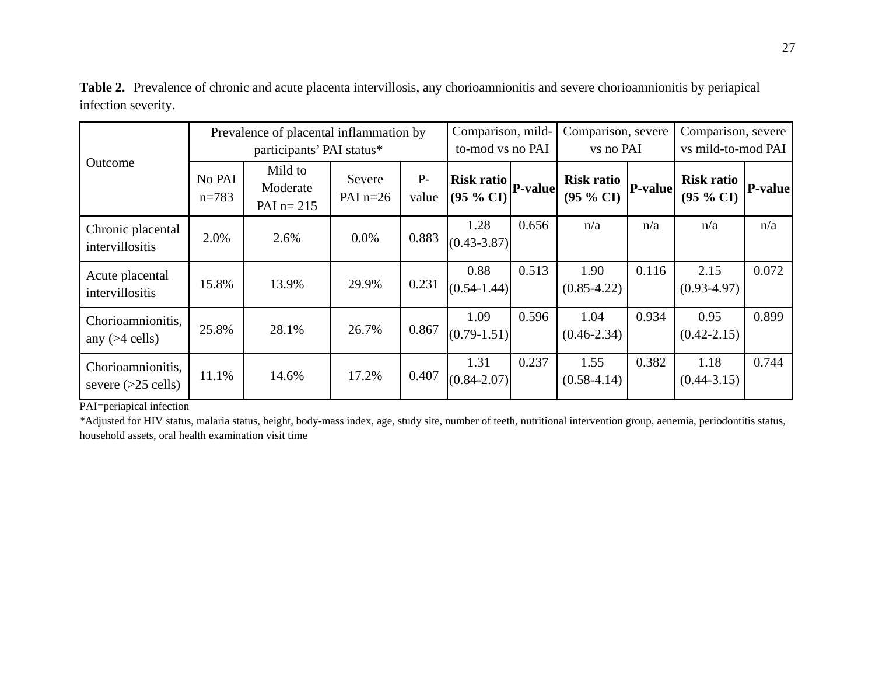**Table 2.** Prevalence of chronic and acute placenta intervillosis, any chorioamnionitis and severe chorioamnionitis by periapical infection severity.

|                                           | Prevalence of placental inflammation by<br>participants' PAI status* |                                    |                      |               | Comparison, mild-<br>to-mod vs no PAI |         | Comparison, severe<br>vs no PAI |                | Comparison, severe<br>vs mild-to-mod PAI |                |
|-------------------------------------------|----------------------------------------------------------------------|------------------------------------|----------------------|---------------|---------------------------------------|---------|---------------------------------|----------------|------------------------------------------|----------------|
| Outcome                                   | No PAI<br>$n = 783$                                                  | Mild to<br>Moderate<br>PAI $n=215$ | Severe<br>PAI $n=26$ | $P-$<br>value | <b>Risk ratio</b><br>(95 % CI)        | P-value | <b>Risk ratio</b><br>(95 % CI)  | <b>P-value</b> | <b>Risk ratio</b><br>(95 % C I)          | <b>P-value</b> |
| Chronic placental<br>intervillositis      | 2.0%                                                                 | 2.6%                               | $0.0\%$              | 0.883         | 1.28<br>$(0.43 - 3.87)$               | 0.656   | n/a                             | n/a            | n/a                                      | n/a            |
| Acute placental<br>intervillositis        | 15.8%                                                                | 13.9%                              | 29.9%                | 0.231         | 0.88<br>$(0.54 - 1.44)$               | 0.513   | 1.90<br>$(0.85 - 4.22)$         | 0.116          | 2.15<br>$(0.93 - 4.97)$                  | 0.072          |
| Chorioamnionitis,<br>any $(>4$ cells)     | 25.8%                                                                | 28.1%                              | 26.7%                | 0.867         | 1.09<br>$(0.79 - 1.51)$               | 0.596   | 1.04<br>$(0.46 - 2.34)$         | 0.934          | 0.95<br>$(0.42 - 2.15)$                  | 0.899          |
| Chorioamnionitis,<br>severe $(>25$ cells) | 11.1%                                                                | 14.6%                              | 17.2%                | 0.407         | 1.31<br>$(0.84 - 2.07)$               | 0.237   | 1.55<br>$(0.58-4.14)$           | 0.382          | 1.18<br>$(0.44 - 3.15)$                  | 0.744          |

PAI=periapical infection

*\**Adjusted for HIV status, malaria status, height, body-mass index, age, study site, number of teeth, nutritional intervention group, aenemia, periodontitis status, household assets, oral health examination visit time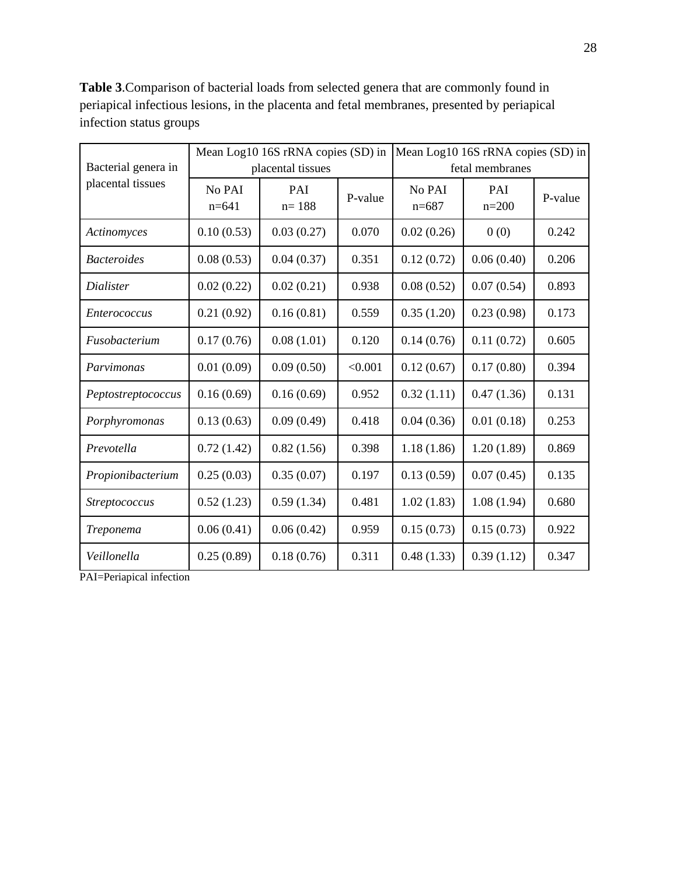|                     |                   | Mean Log10 16S rRNA copies (SD) in |         | Mean Log10 16S rRNA copies (SD) in |                  |         |  |  |
|---------------------|-------------------|------------------------------------|---------|------------------------------------|------------------|---------|--|--|
| Bacterial genera in |                   | placental tissues                  |         | fetal membranes                    |                  |         |  |  |
| placental tissues   | No PAI<br>$n=641$ | PAI<br>$n = 188$                   | P-value | No PAI<br>$n=687$                  | PAI<br>$n = 200$ | P-value |  |  |
| Actinomyces         | 0.10(0.53)        | 0.03(0.27)                         | 0.070   | 0.02(0.26)                         | 0(0)             | 0.242   |  |  |
| <b>Bacteroides</b>  | 0.08(0.53)        | 0.04(0.37)                         | 0.351   | 0.12(0.72)                         | 0.06(0.40)       | 0.206   |  |  |
| Dialister           | 0.02(0.22)        | 0.02(0.21)                         | 0.938   | 0.08(0.52)                         | 0.07(0.54)       | 0.893   |  |  |
| <i>Enterococcus</i> | 0.21(0.92)        | 0.16(0.81)                         | 0.559   | 0.35(1.20)                         | 0.23(0.98)       | 0.173   |  |  |
| Fusobacterium       | 0.17(0.76)        | 0.08(1.01)                         | 0.120   | 0.14(0.76)                         | 0.11(0.72)       | 0.605   |  |  |
| Parvimonas          | 0.01(0.09)        | 0.09(0.50)                         | < 0.001 | 0.12(0.67)                         | 0.17(0.80)       | 0.394   |  |  |
| Peptostreptococcus  | 0.16(0.69)        | 0.16(0.69)                         | 0.952   | 0.32(1.11)                         | 0.47(1.36)       | 0.131   |  |  |
| Porphyromonas       | 0.13(0.63)        | 0.09(0.49)                         | 0.418   | 0.04(0.36)                         | 0.01(0.18)       | 0.253   |  |  |
| Prevotella          | 0.72(1.42)        | 0.82(1.56)                         | 0.398   | 1.18(1.86)                         | 1.20(1.89)       | 0.869   |  |  |
| Propionibacterium   | 0.25(0.03)        | 0.35(0.07)                         | 0.197   | 0.13(0.59)                         | 0.07(0.45)       | 0.135   |  |  |
| Streptococcus       | 0.52(1.23)        | 0.59(1.34)                         | 0.481   | 1.02(1.83)                         | 1.08(1.94)       | 0.680   |  |  |
| Treponema           | 0.06(0.41)        | 0.06(0.42)                         | 0.959   | 0.15(0.73)                         | 0.15(0.73)       | 0.922   |  |  |
| Veillonella         | 0.25(0.89)        | 0.18(0.76)                         | 0.311   | 0.48(1.33)                         | 0.39(1.12)       | 0.347   |  |  |

**Table 3**.Comparison of bacterial loads from selected genera that are commonly found in periapical infectious lesions, in the placenta and fetal membranes, presented by periapical infection status groups

PAI=Periapical infection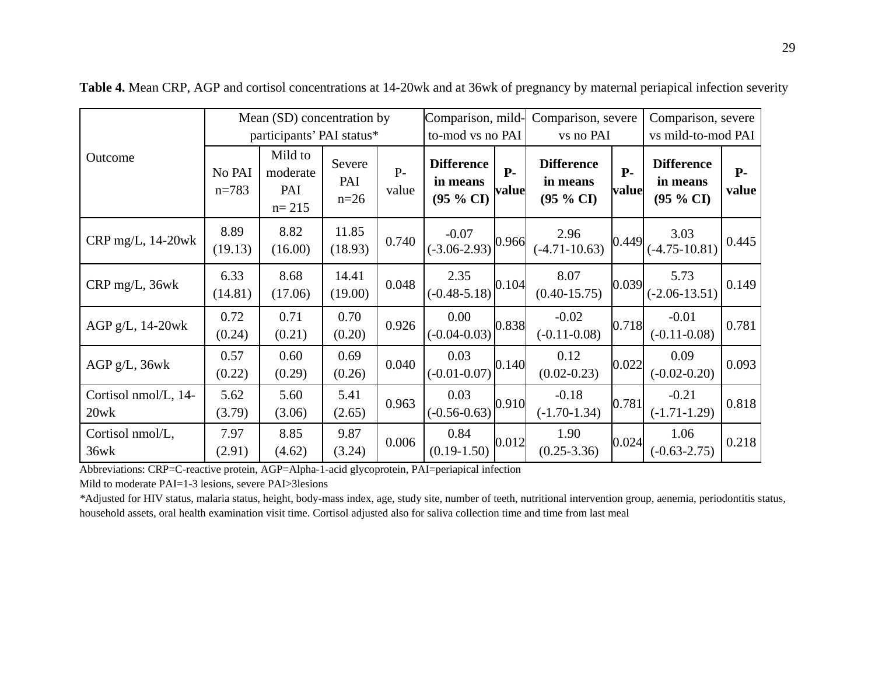|                              |                     | Mean (SD) concentration by              |                         | Comparison, mild- |                                            | Comparison, severe |                                                      | Comparison, severe |                                                      |               |
|------------------------------|---------------------|-----------------------------------------|-------------------------|-------------------|--------------------------------------------|--------------------|------------------------------------------------------|--------------------|------------------------------------------------------|---------------|
|                              |                     | participants' PAI status*               | to-mod vs no PAI        |                   | vs no PAI                                  |                    | vs mild-to-mod PAI                                   |                    |                                                      |               |
| Outcome                      | No PAI<br>$n = 783$ | Mild to<br>moderate<br>PAI<br>$n = 215$ | Severe<br>PAI<br>$n=26$ | $P -$<br>value    | <b>Difference</b><br>in means<br>(95 % CI) | $P -$<br>value     | <b>Difference</b><br>in means<br>$(95\% \text{ CI})$ | $P-$<br>value      | <b>Difference</b><br>in means<br>$(95\% \text{ CI})$ | $P-$<br>value |
| CRP mg/L, 14-20wk            | 8.89<br>(19.13)     | 8.82<br>(16.00)                         | 11.85<br>(18.93)        | 0.740             | $-0.07$<br>$(-3.06 - 2.93)$                | 0.966              | 2.96<br>$(-4.71 - 10.63)$                            | 0.449              | 3.03<br>$(-4.75 - 10.81)$                            | 0.445         |
| CRP mg/L, 36wk               | 6.33<br>(14.81)     | 8.68<br>(17.06)                         | 14.41<br>(19.00)        | 0.048             | 2.35<br>$(-0.48 - 5.18)$                   | 0.104              | 8.07<br>$(0.40 - 15.75)$                             | 0.039              | 5.73<br>$(-2.06 - 13.51)$                            | 0.149         |
| AGP $g/L$ , 14-20wk          | 0.72<br>(0.24)      | 0.71<br>(0.21)                          | 0.70<br>(0.20)          | 0.926             | 0.00<br>$(-0.04 - 0.03)$                   | 0.838              | $-0.02$<br>$(-0.11 - 0.08)$                          | 0.718              | $-0.01$<br>$(-0.11 - 0.08)$                          | 0.781         |
| $AGP g/L$ , $36wk$           | 0.57<br>(0.22)      | 0.60<br>(0.29)                          | 0.69<br>(0.26)          | 0.040             | 0.03<br>$(-0.01 - 0.07)$                   | 0.140              | 0.12<br>$(0.02 - 0.23)$                              | 0.022              | 0.09<br>$(-0.02 - 0.20)$                             | 0.093         |
| Cortisol nmol/L, 14-<br>20wk | 5.62<br>(3.79)      | 5.60<br>(3.06)                          | 5.41<br>(2.65)          | 0.963             | 0.03<br>$(-0.56 - 0.63)$                   | 0.910              | $-0.18$<br>$(-1.70-1.34)$                            | 0.781              | $-0.21$<br>$(-1.71-1.29)$                            | 0.818         |
| Cortisol nmol/L,<br>36wk     | 7.97<br>(2.91)      | 8.85<br>(4.62)                          | 9.87<br>(3.24)          | 0.006             | 0.84<br>$(0.19 - 1.50)$                    | 0.012              | 1.90<br>$(0.25 - 3.36)$                              | 0.024              | 1.06<br>$(-0.63 - 2.75)$                             | 0.218         |

**Table 4.** Mean CRP, AGP and cortisol concentrations at 14-20wk and at 36wk of pregnancy by maternal periapical infection severity

Abbreviations: CRP=C-reactive protein, AGP=Alpha-1-acid glycoprotein, PAI=periapical infection

Mild to moderate PAI=1-3 lesions, severe PAI>3lesions

*\**Adjusted for HIV status, malaria status, height, body-mass index, age, study site, number of teeth, nutritional intervention group, aenemia, periodontitis status, household assets, oral health examination visit time. Cortisol adjusted also for saliva collection time and time from last meal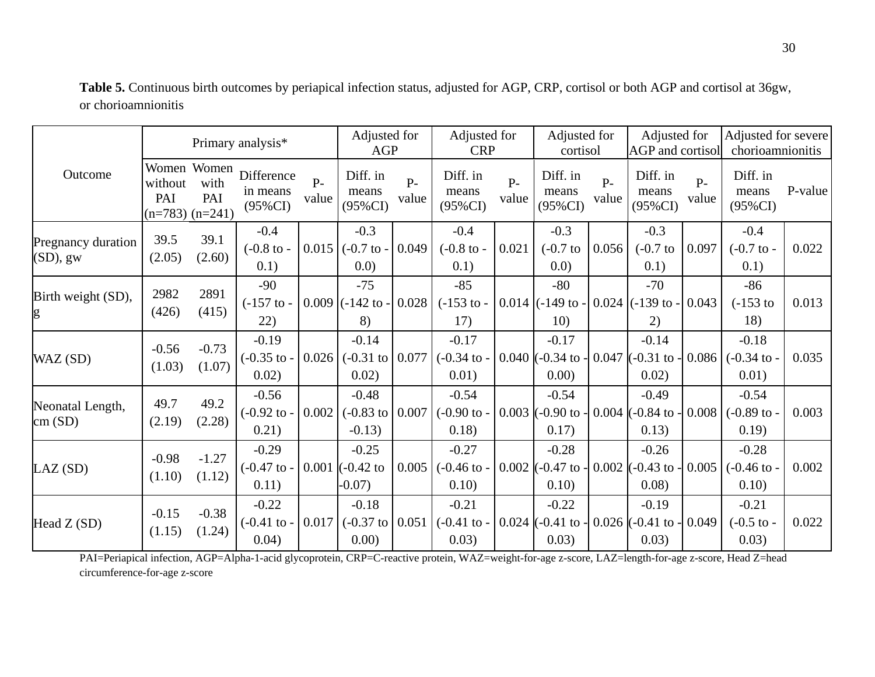|                                          |                                                      |                   | Primary analysis*                           |                | Adjusted for<br><b>AGP</b>                         |                | Adjusted for<br><b>CRP</b>                                               |                | Adjusted for<br>cortisol                |                | Adjusted for<br>AGP and cortisol              |                | Adjusted for severe<br>chorioamnionitis    |         |
|------------------------------------------|------------------------------------------------------|-------------------|---------------------------------------------|----------------|----------------------------------------------------|----------------|--------------------------------------------------------------------------|----------------|-----------------------------------------|----------------|-----------------------------------------------|----------------|--------------------------------------------|---------|
| Outcome                                  | Women Women<br>without<br>PAI<br>$(n=783)$ $(n=241)$ | with<br>PAI       | Difference<br>in means<br>$(95\% CI)$       | $P -$<br>value | Diff. in<br>means<br>$(95\% CI)$                   | $P -$<br>value | Diff. in<br>means<br>$(95\%CI)$                                          | $P -$<br>value | Diff. in<br>means<br>$(95\%CI)$         | $P -$<br>value | Diff. in<br>means<br>$(95\%CI)$               | $P -$<br>value | Diff. in<br>means<br>$(95\%CI)$            | P-value |
| <b>Pregnancy duration</b><br>$(SD)$ , gw | 39.5<br>(2.05)                                       | 39.1<br>(2.60)    | $-0.4$<br>$(-0.8 \text{ to } -$<br>0.1)     | 0.015          | $-0.3$<br>$(-0.7)$ to -<br>(0.0)                   | 0.049          | $-0.4$<br>$(-0.8 \text{ to } -$<br>0.1)                                  | 0.021          | $-0.3$<br>$(-0.7)$ to<br>(0.0)          | 0.056          | $-0.3$<br>$(-0.7)$ to<br>0.1)                 | 0.097          | $-0.4$<br>$(-0.7)$ to -<br>0.1)            | 0.022   |
| Birth weight (SD),<br>g                  | 2982<br>(426)                                        | 2891<br>(415)     | $-90$<br>$(-157 \text{ to } -$<br>22)       |                | $-75$<br>$0.009$ (-142 to -<br>8)                  | 0.028          | $-85$<br>$(-153$ to -<br>17)                                             |                | $-80$<br>$0.014$ (-149 to -<br>10)      |                | $-70$<br>$0.024$ (-139 to -<br>2)             | 0.043          | $-86$<br>$(-153)$ to<br>18)                | 0.013   |
| WAZ (SD)                                 | $-0.56$<br>(1.03)                                    | $-0.73$<br>(1.07) | $-0.19$<br>$(-0.35 \text{ to } -)$<br>0.02) |                | $-0.14$<br>0.02)                                   |                | $-0.17$<br>$0.026$ (-0.31 to 0.077 (-0.34 to -<br>0.01)                  |                | $-0.17$<br>$0.040$ (-0.34 to -<br>0.00) |                | $-0.14$<br>$0.047$ (-0.31 to -<br>0.02)       |                | $-0.18$<br>$0.086$ (-0.34 to -<br>0.01)    | 0.035   |
| Neonatal Length,<br>cm(SD)               | 49.7<br>(2.19)                                       | 49.2<br>(2.28)    | $-0.56$<br>$(-0.92 \text{ to } -$<br>0.21)  | 0.002          | $-0.48$<br>$(-0.83 \text{ to } 0.007)$<br>$-0.13)$ |                | $-0.54$<br>$(-0.90)$ to -<br>0.18)                                       |                | $-0.54$<br>$0.003$ (-0.90 to -<br>0.17) | 0.004          | $-0.49$<br>$-0.84$ to<br>0.13)                | 0.008          | $-0.54$<br>$(-0.89)$ to -<br>0.19)         | 0.003   |
| LAZ(SD)                                  | $-0.98$<br>(1.10)                                    | $-1.27$<br>(1.12) | $-0.29$<br>$(-0.47)$ to -<br>0.11)          |                | $-0.25$<br>$0.001$ (-0.42 to<br>$-0.07$ )          |                | $-0.27$<br>$0.005$ (-0.46 to -<br>0.10)                                  |                | $-0.28$<br>$0.002$ (-0.47 to -<br>0.10) | 0.002          | $-0.26$<br>$-0.43$ to<br>0.08)                | 0.005          | $-0.28$<br>$(-0.46 \text{ to } -$<br>0.10) | 0.002   |
| Head $Z(SD)$                             | $-0.15$<br>(1.15)                                    | $-0.38$<br>(1.24) | $-0.22$<br>$(-0.41 \text{ to } -$<br>0.04)  | 0.017          | $-0.18$<br>0.00)                                   |                | $-0.21$<br>$(-0.37 \text{ to } 0.051)$ $(-0.41 \text{ to } -1)$<br>0.03) |                | $-0.22$<br>$0.024$ (-0.41 to -<br>0.03) |                | $-0.19$<br>$0.026$ (-0.41 to - 0.049<br>0.03) |                | $-0.21$<br>$(-0.5)$ to -<br>0.03)          | 0.022   |

**Table 5.** Continuous birth outcomes by periapical infection status, adjusted for AGP, CRP, cortisol or both AGP and cortisol at 36gw, or chorioamnionitis

PAI=Periapical infection, AGP=Alpha-1-acid glycoprotein, CRP=C-reactive protein, WAZ=weight-for-age z-score, LAZ=length-for-age z-score, Head Z=head circumference-for-age z-score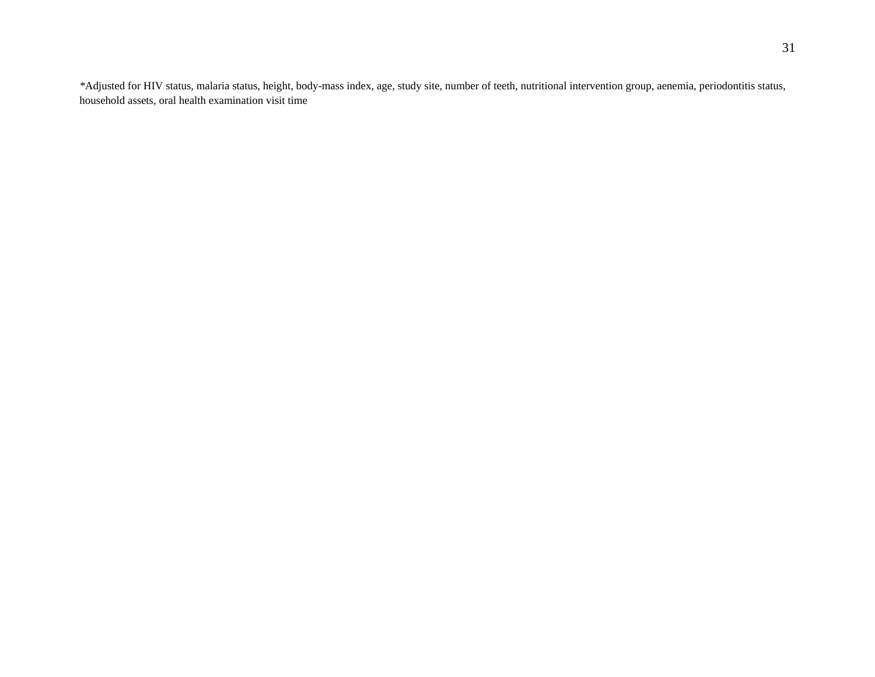*\**Adjusted for HIV status, malaria status, height, body-mass index, age, study site, number of teeth, nutritional intervention group, aenemia, periodontitis status, household assets, oral health examination visit time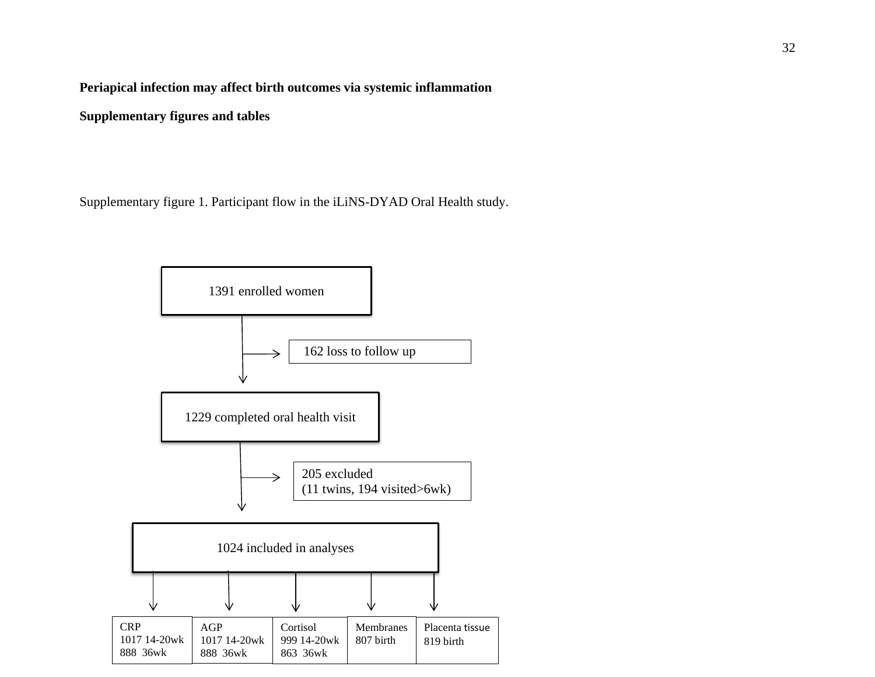**Periapical infection may affect birth outcomes via systemic inflammation**

**Supplementary figures and tables**

Supplementary figure 1. Participant flow in the iLiNS-DYAD Oral Health study.

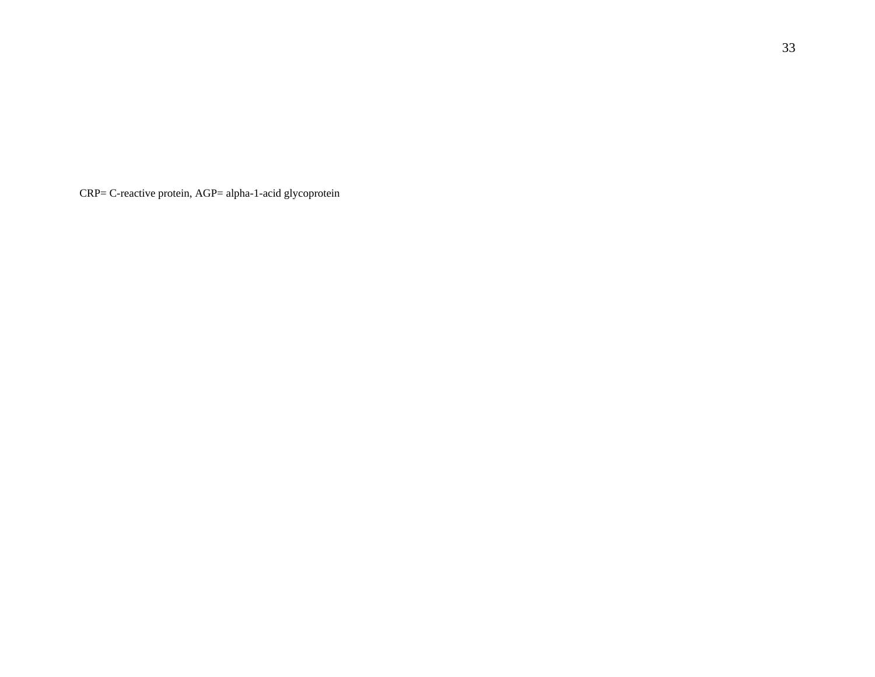CRP= C-reactive protein, AGP= alpha-1-acid glycoprotein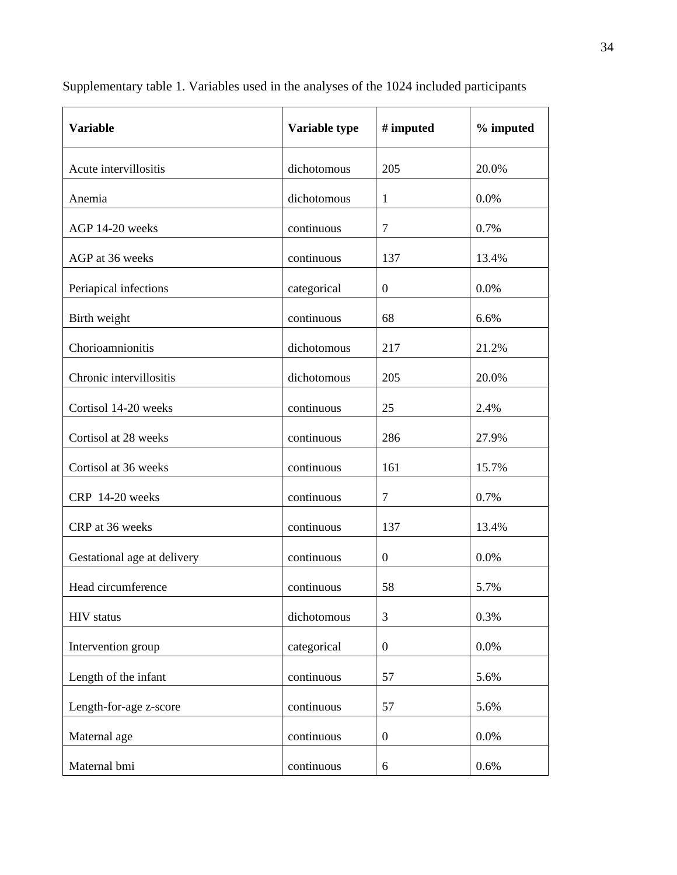| <b>Variable</b>             | Variable type | # imputed        | % imputed |
|-----------------------------|---------------|------------------|-----------|
| Acute intervillositis       | dichotomous   | 205              | 20.0%     |
| Anemia                      | dichotomous   | $\mathbf{1}$     | 0.0%      |
| AGP 14-20 weeks             | continuous    | $\overline{7}$   | 0.7%      |
| AGP at 36 weeks             | continuous    | 137              | 13.4%     |
| Periapical infections       | categorical   | $\boldsymbol{0}$ | 0.0%      |
| Birth weight                | continuous    | 68               | 6.6%      |
| Chorioamnionitis            | dichotomous   | 217              | 21.2%     |
| Chronic intervillositis     | dichotomous   | 205              | 20.0%     |
| Cortisol 14-20 weeks        | continuous    | 25               | 2.4%      |
| Cortisol at 28 weeks        | continuous    | 286              | 27.9%     |
| Cortisol at 36 weeks        | continuous    | 161              | 15.7%     |
| CRP 14-20 weeks             | continuous    | $\overline{7}$   | 0.7%      |
| CRP at 36 weeks             | continuous    | 137              | 13.4%     |
| Gestational age at delivery | continuous    | $\boldsymbol{0}$ | 0.0%      |
| Head circumference          | continuous    | 58               | 5.7%      |
| <b>HIV</b> status           | dichotomous   | 3                | 0.3%      |
| Intervention group          | categorical   | $\boldsymbol{0}$ | 0.0%      |
| Length of the infant        | continuous    | 57               | 5.6%      |
| Length-for-age z-score      | continuous    | 57               | 5.6%      |
| Maternal age                | continuous    | $\overline{0}$   | 0.0%      |
| Maternal bmi                | continuous    | $6\,$            | 0.6%      |

Supplementary table 1. Variables used in the analyses of the 1024 included participants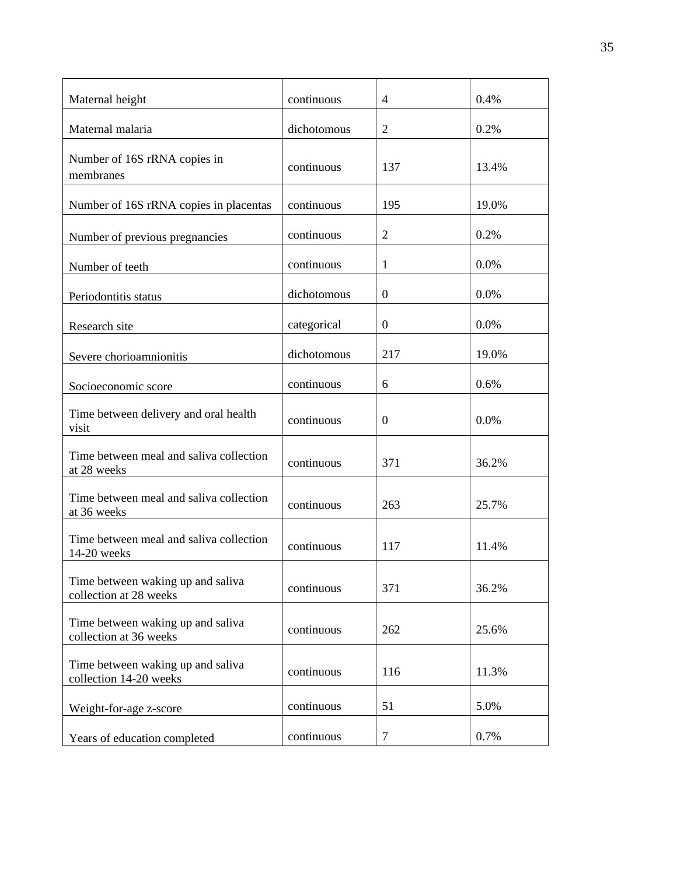| Maternal height                                             | continuous  | $\overline{4}$   | 0.4%    |
|-------------------------------------------------------------|-------------|------------------|---------|
| Maternal malaria                                            | dichotomous | $\overline{2}$   | 0.2%    |
| Number of 16S rRNA copies in<br>membranes                   | continuous  | 137              | 13.4%   |
| Number of 16S rRNA copies in placentas                      | continuous  | 195              | 19.0%   |
| Number of previous pregnancies                              | continuous  | $\overline{2}$   | 0.2%    |
| Number of teeth                                             | continuous  | 1                | 0.0%    |
| Periodontitis status                                        | dichotomous | $\boldsymbol{0}$ | 0.0%    |
| Research site                                               | categorical | $\overline{0}$   | $0.0\%$ |
| Severe chorioamnionitis                                     | dichotomous | 217              | 19.0%   |
| Socioeconomic score                                         | continuous  | 6                | 0.6%    |
| Time between delivery and oral health<br>visit              | continuous  | $\overline{0}$   | $0.0\%$ |
| Time between meal and saliva collection<br>at 28 weeks      | continuous  | 371              | 36.2%   |
| Time between meal and saliva collection<br>at 36 weeks      | continuous  | 263              | 25.7%   |
| Time between meal and saliva collection<br>14-20 weeks      | continuous  | 117              | 11.4%   |
| Time between waking up and saliva<br>collection at 28 weeks | continuous  | 371              | 36.2%   |
| Time between waking up and saliva<br>collection at 36 weeks | continuous  | 262              | 25.6%   |
| Time between waking up and saliva<br>collection 14-20 weeks | continuous  | 116              | 11.3%   |
| Weight-for-age z-score                                      | continuous  | 51               | 5.0%    |
| Years of education completed                                | continuous  | $\tau$           | 0.7%    |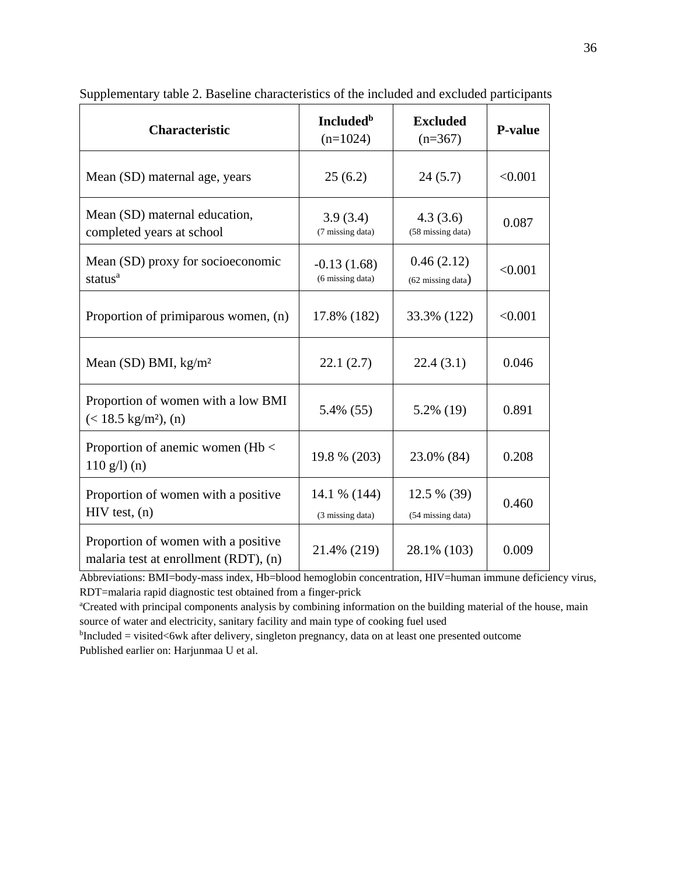| <b>Characteristic</b>                                                        | <b>Included</b> <sup>b</sup><br>$(n=1024)$ | <b>Excluded</b><br>$(n=367)$              | <b>P-value</b> |
|------------------------------------------------------------------------------|--------------------------------------------|-------------------------------------------|----------------|
| Mean (SD) maternal age, years                                                | 25(6.2)                                    | 24(5.7)                                   | < 0.001        |
| Mean (SD) maternal education,<br>completed years at school                   | 3.9(3.4)<br>(7 missing data)               | 4.3(3.6)<br>(58 missing data)             | 0.087          |
| Mean (SD) proxy for socioeconomic<br>status <sup>a</sup>                     | $-0.13(1.68)$<br>(6 missing data)          | 0.46(2.12)<br>$(62 \text{ missing data})$ | < 0.001        |
| Proportion of primiparous women, (n)                                         | 17.8% (182)                                | 33.3% (122)                               | < 0.001        |
| Mean (SD) BMI, $kg/m2$                                                       | 22.1(2.7)                                  | 22.4(3.1)                                 | 0.046          |
| Proportion of women with a low BMI<br>$(< 18.5 \text{ kg/m}^2)$ , (n)        | 5.4% (55)                                  | 5.2% (19)                                 | 0.891          |
| Proportion of anemic women ( $Hb <$<br>$110$ g/l) (n)                        | 19.8 % (203)                               | 23.0% (84)                                | 0.208          |
| Proportion of women with a positive<br>$HIV$ test, $(n)$                     | 14.1 % (144)<br>(3 missing data)           | 12.5 % (39)<br>(54 missing data)          | 0.460          |
| Proportion of women with a positive<br>malaria test at enrollment (RDT), (n) | 21.4% (219)                                | 28.1% (103)                               | 0.009          |

Supplementary table 2. Baseline characteristics of the included and excluded participants

Abbreviations: BMI=body-mass index, Hb=blood hemoglobin concentration, HIV=human immune deficiency virus, RDT=malaria rapid diagnostic test obtained from a finger-prick

<sup>a</sup>Created with principal components analysis by combining information on the building material of the house, main source of water and electricity, sanitary facility and main type of cooking fuel used

<sup>b</sup>Included = visited<6wk after delivery, singleton pregnancy, data on at least one presented outcome Published earlier on: Harjunmaa U et al.